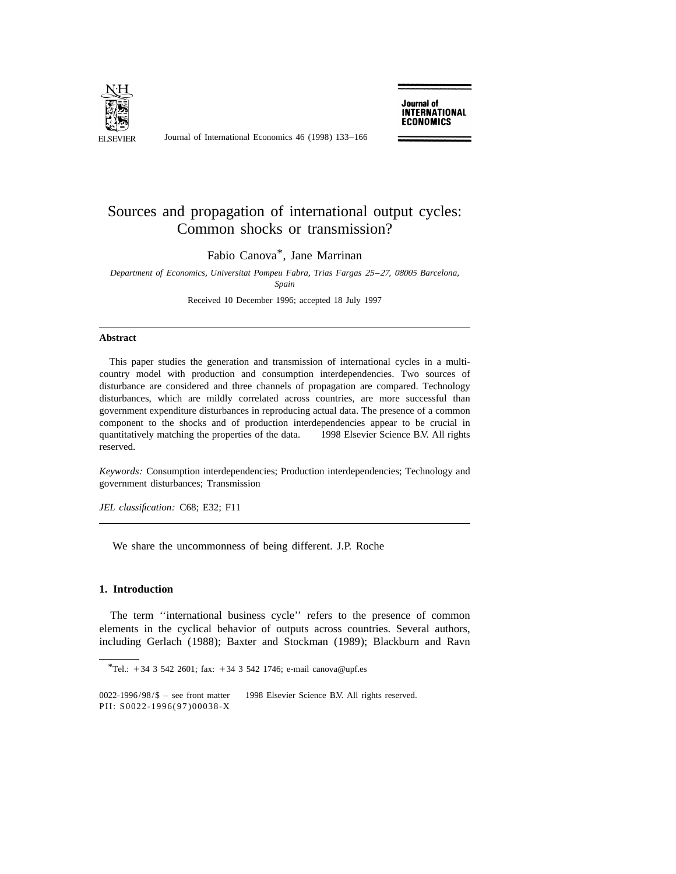

Journal of International Economics 46 (1998) 133–166

Journal of **INTERNATIONAL ECONOMICS** 

# Sources and propagation of international output cycles: Common shocks or transmission?

Fabio Canova<sup>\*</sup>, Jane Marrinan

*Department of Economics*, *Universitat Pompeu Fabra*, *Trias Fargas* <sup>25</sup> –27, <sup>08005</sup> *Barcelona*, *Spain*

Received 10 December 1996; accepted 18 July 1997

## **Abstract**

This paper studies the generation and transmission of international cycles in a multicountry model with production and consumption interdependencies. Two sources of disturbance are considered and three channels of propagation are compared. Technology disturbances, which are mildly correlated across countries, are more successful than government expenditure disturbances in reproducing actual data. The presence of a common component to the shocks and of production interdependencies appear to be crucial in quantitatively matching the properties of the data.  $\circ$  1998 Elsevier Science B.V. All rights reserved.

*Keywords*: Consumption interdependencies; Production interdependencies; Technology and government disturbances; Transmission

*JEL classification*: C68; E32; F11

We share the uncommonness of being different. J.P. Roche

# **1. Introduction**

The term ''international business cycle'' refers to the presence of common elements in the cyclical behavior of outputs across countries. Several authors, including Gerlach (1988); Baxter and Stockman (1989); Blackburn and Ravn

\*Tel.:  $+34$  3 542 2601; fax:  $+34$  3 542 1746; e-mail canova@upf.es

 $0022-1996/98/\$$  – see front matter  $\heartsuit$  1998 Elsevier Science B.V. All rights reserved. PII: S0022-1996(97)00038-X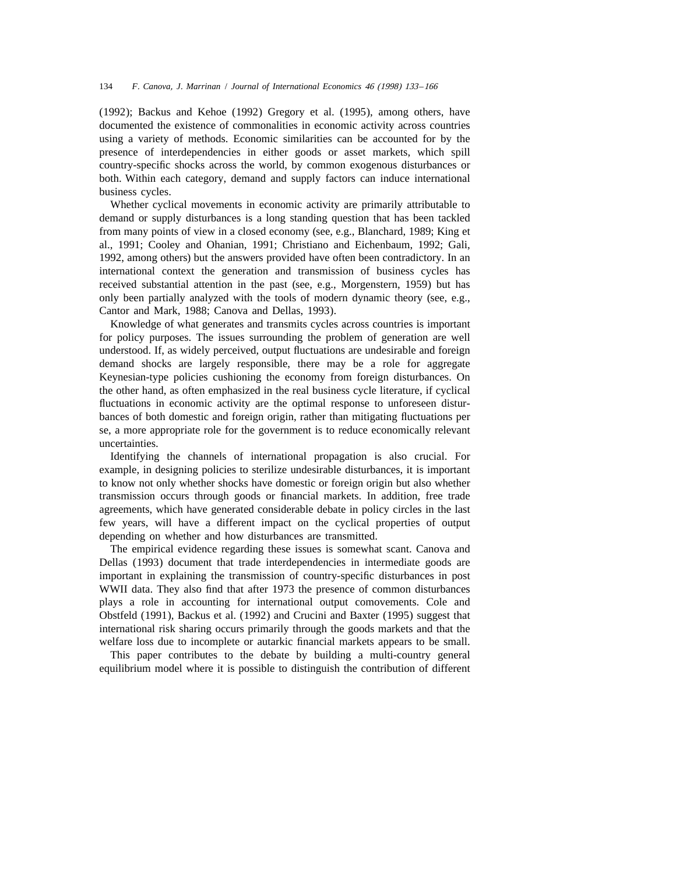(1992); Backus and Kehoe (1992) Gregory et al. (1995), among others, have documented the existence of commonalities in economic activity across countries using a variety of methods. Economic similarities can be accounted for by the presence of interdependencies in either goods or asset markets, which spill country-specific shocks across the world, by common exogenous disturbances or both. Within each category, demand and supply factors can induce international business cycles.

Whether cyclical movements in economic activity are primarily attributable to demand or supply disturbances is a long standing question that has been tackled from many points of view in a closed economy (see, e.g., Blanchard, 1989; King et al., 1991; Cooley and Ohanian, 1991; Christiano and Eichenbaum, 1992; Gali, 1992, among others) but the answers provided have often been contradictory. In an international context the generation and transmission of business cycles has received substantial attention in the past (see, e.g., Morgenstern, 1959) but has only been partially analyzed with the tools of modern dynamic theory (see, e.g., Cantor and Mark, 1988; Canova and Dellas, 1993).

Knowledge of what generates and transmits cycles across countries is important for policy purposes. The issues surrounding the problem of generation are well understood. If, as widely perceived, output fluctuations are undesirable and foreign demand shocks are largely responsible, there may be a role for aggregate Keynesian-type policies cushioning the economy from foreign disturbances. On the other hand, as often emphasized in the real business cycle literature, if cyclical fluctuations in economic activity are the optimal response to unforeseen disturbances of both domestic and foreign origin, rather than mitigating fluctuations per se, a more appropriate role for the government is to reduce economically relevant uncertainties.

Identifying the channels of international propagation is also crucial. For example, in designing policies to sterilize undesirable disturbances, it is important to know not only whether shocks have domestic or foreign origin but also whether transmission occurs through goods or financial markets. In addition, free trade agreements, which have generated considerable debate in policy circles in the last few years, will have a different impact on the cyclical properties of output depending on whether and how disturbances are transmitted.

The empirical evidence regarding these issues is somewhat scant. Canova and Dellas (1993) document that trade interdependencies in intermediate goods are important in explaining the transmission of country-specific disturbances in post WWII data. They also find that after 1973 the presence of common disturbances plays a role in accounting for international output comovements. Cole and Obstfeld (1991), Backus et al. (1992) and Crucini and Baxter (1995) suggest that international risk sharing occurs primarily through the goods markets and that the welfare loss due to incomplete or autarkic financial markets appears to be small.

This paper contributes to the debate by building a multi-country general equilibrium model where it is possible to distinguish the contribution of different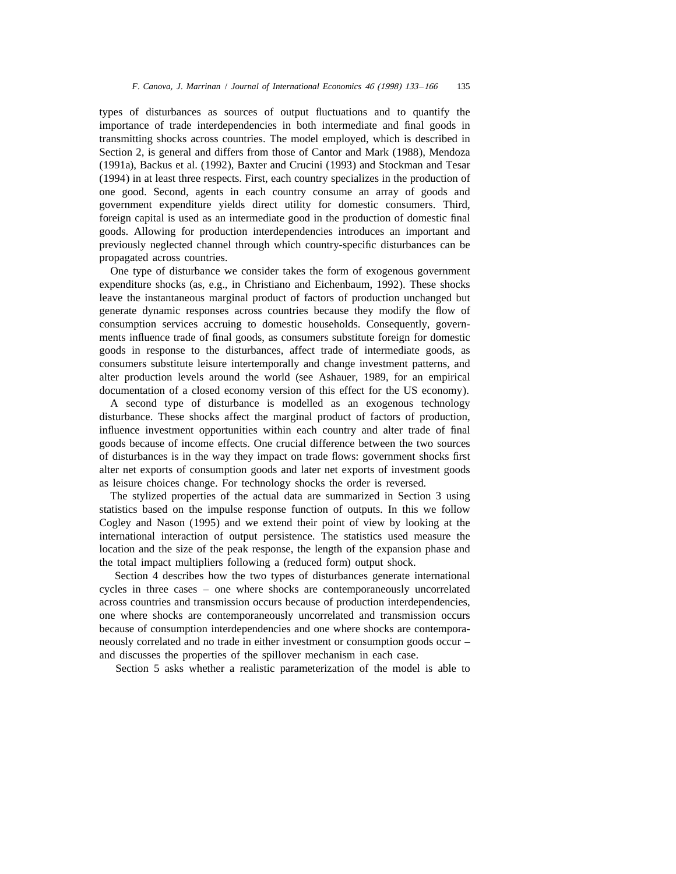types of disturbances as sources of output fluctuations and to quantify the importance of trade interdependencies in both intermediate and final goods in transmitting shocks across countries. The model employed, which is described in Section 2, is general and differs from those of Cantor and Mark (1988), Mendoza (1991a), Backus et al. (1992), Baxter and Crucini (1993) and Stockman and Tesar (1994) in at least three respects. First, each country specializes in the production of one good. Second, agents in each country consume an array of goods and government expenditure yields direct utility for domestic consumers. Third, foreign capital is used as an intermediate good in the production of domestic final goods. Allowing for production interdependencies introduces an important and previously neglected channel through which country-specific disturbances can be propagated across countries.

One type of disturbance we consider takes the form of exogenous government expenditure shocks (as, e.g., in Christiano and Eichenbaum, 1992). These shocks leave the instantaneous marginal product of factors of production unchanged but generate dynamic responses across countries because they modify the flow of consumption services accruing to domestic households. Consequently, governments influence trade of final goods, as consumers substitute foreign for domestic goods in response to the disturbances, affect trade of intermediate goods, as consumers substitute leisure intertemporally and change investment patterns, and alter production levels around the world (see Ashauer, 1989, for an empirical documentation of a closed economy version of this effect for the US economy).

A second type of disturbance is modelled as an exogenous technology disturbance. These shocks affect the marginal product of factors of production, influence investment opportunities within each country and alter trade of final goods because of income effects. One crucial difference between the two sources of disturbances is in the way they impact on trade flows: government shocks first alter net exports of consumption goods and later net exports of investment goods as leisure choices change. For technology shocks the order is reversed.

The stylized properties of the actual data are summarized in Section 3 using statistics based on the impulse response function of outputs. In this we follow Cogley and Nason (1995) and we extend their point of view by looking at the international interaction of output persistence. The statistics used measure the location and the size of the peak response, the length of the expansion phase and the total impact multipliers following a (reduced form) output shock.

Section 4 describes how the two types of disturbances generate international cycles in three cases – one where shocks are contemporaneously uncorrelated across countries and transmission occurs because of production interdependencies, one where shocks are contemporaneously uncorrelated and transmission occurs because of consumption interdependencies and one where shocks are contemporaneously correlated and no trade in either investment or consumption goods occur – and discusses the properties of the spillover mechanism in each case.

Section 5 asks whether a realistic parameterization of the model is able to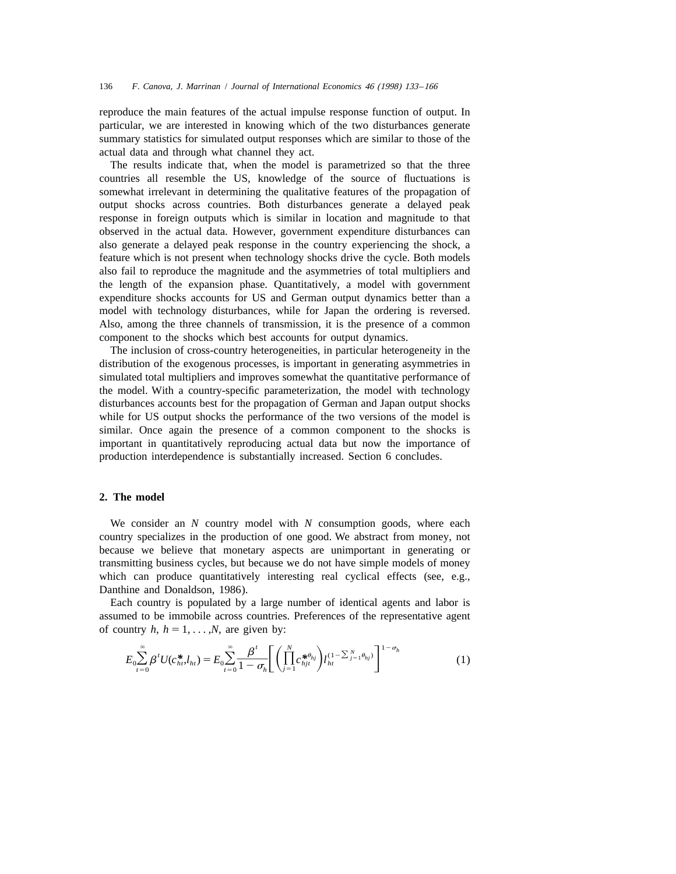reproduce the main features of the actual impulse response function of output. In particular, we are interested in knowing which of the two disturbances generate summary statistics for simulated output responses which are similar to those of the actual data and through what channel they act.

The results indicate that, when the model is parametrized so that the three countries all resemble the US, knowledge of the source of fluctuations is somewhat irrelevant in determining the qualitative features of the propagation of output shocks across countries. Both disturbances generate a delayed peak response in foreign outputs which is similar in location and magnitude to that observed in the actual data. However, government expenditure disturbances can also generate a delayed peak response in the country experiencing the shock, a feature which is not present when technology shocks drive the cycle. Both models also fail to reproduce the magnitude and the asymmetries of total multipliers and the length of the expansion phase. Quantitatively, a model with government expenditure shocks accounts for US and German output dynamics better than a model with technology disturbances, while for Japan the ordering is reversed. Also, among the three channels of transmission, it is the presence of a common component to the shocks which best accounts for output dynamics.

The inclusion of cross-country heterogeneities, in particular heterogeneity in the distribution of the exogenous processes, is important in generating asymmetries in simulated total multipliers and improves somewhat the quantitative performance of the model. With a country-specific parameterization, the model with technology disturbances accounts best for the propagation of German and Japan output shocks while for US output shocks the performance of the two versions of the model is similar. Once again the presence of a common component to the shocks is important in quantitatively reproducing actual data but now the importance of production interdependence is substantially increased. Section 6 concludes.

# **2. The model**

We consider an *N* country model with *N* consumption goods, where each country specializes in the production of one good. We abstract from money, not because we believe that monetary aspects are unimportant in generating or transmitting business cycles, but because we do not have simple models of money which can produce quantitatively interesting real cyclical effects (see, e.g., Danthine and Donaldson, 1986).

Each country is populated by a large number of identical agents and labor is assumed to be immobile across countries. Preferences of the representative agent of country  $h, h = 1, \ldots, N$ , are given by:

$$
E_0 \sum_{t=0}^{\infty} \beta^t U(c_{ht}^* l_{ht}) = E_0 \sum_{t=0}^{\infty} \frac{\beta^t}{1 - \sigma_h} \left[ \left( \prod_{j=1}^N c_{hji}^{* \theta_{hj}} \right) l_{ht}^{(1 - \sum_{j=1}^N \theta_{hj})} \right]^{1 - \sigma_h}
$$
(1)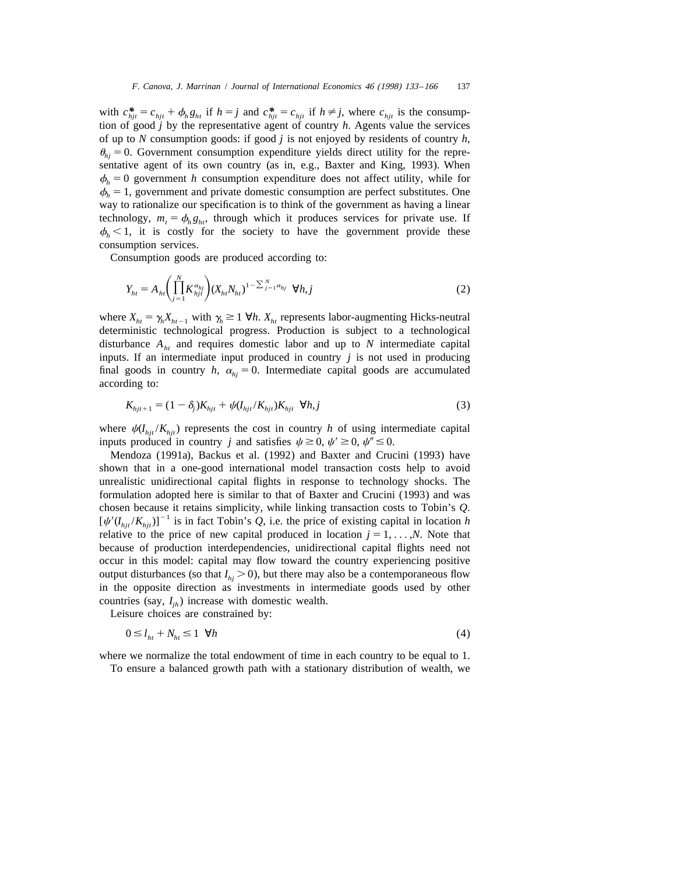with  $c_{hit}^* = c_{hit} + \phi_h g_{ht}$  if  $h = j$  and  $c_{hit}^* = c_{hit}$  if  $h \neq j$ , where  $c_{hit}$  is the consumption of good *j* by the representative agent of country *h*. Agents value the services of up to *N* consumption goods: if good *j* is not enjoyed by residents of country *h*,  $\theta_{hi} = 0$ . Government consumption expenditure yields direct utility for the representative agent of its own country (as in, e.g., Baxter and King, 1993). When  $\phi_h = 0$  government *h* consumption expenditure does not affect utility, while for  $\phi_h = 1$ , government and private domestic consumption are perfect substitutes. One way to rationalize our specification is to think of the government as having a linear technology,  $m_t = \phi_h g_{ht}$ , through which it produces services for private use. If  $\phi_h \leq 1$ , it is costly for the society to have the government provide these consumption services.

Consumption goods are produced according to:

$$
Y_{ht} = A_{ht} \left( \prod_{j=1}^{N} K_{hjt}^{\alpha_{hj}} \right) (X_{ht} N_{ht})^{1 - \sum_{j=1}^{N} \alpha_{hj}} \ \ \forall h, j
$$
 (2)

where  $X_{ht} = \gamma_h X_{ht-1}$  with  $\gamma_h \ge 1 \forall h$ .  $X_{ht}$  represents labor-augmenting Hicks-neutral deterministic technological progress. Production is subject to a technological disturbance  $A_{ht}$  and requires domestic labor and up to  $N$  intermediate capital inputs. If an intermediate input produced in country *j* is not used in producing final goods in country *h*,  $\alpha_{hi} = 0$ . Intermediate capital goods are accumulated according to:

$$
K_{hjt+1} = (1 - \delta_j)K_{hjt} + \psi(I_{hjt}/K_{hjt})K_{hjt} \quad \forall h, j
$$
 (3)

where  $\psi(I_{hit}/K_{hit})$  represents the cost in country *h* of using intermediate capital inputs produced in country *j* and satisfies  $\psi \ge 0$ ,  $\psi' \ge 0$ ,  $\psi'' \le 0$ .

Mendoza (1991a), Backus et al. (1992) and Baxter and Crucini (1993) have shown that in a one-good international model transaction costs help to avoid unrealistic unidirectional capital flights in response to technology shocks. The formulation adopted here is similar to that of Baxter and Crucini (1993) and was chosen because it retains simplicity, while linking transaction costs to Tobin's *Q*.  $[\psi'(I_{hit}/K_{hit})]^{-1}$  is in fact Tobin's *Q*, i.e. the price of existing capital in location *h* relative to the price of new capital produced in location  $j = 1, \ldots, N$ . Note that because of production interdependencies, unidirectional capital flights need not occur in this model: capital may flow toward the country experiencing positive output disturbances (so that  $I_{hi} > 0$ ), but there may also be a contemporaneous flow in the opposite direction as investments in intermediate goods used by other countries (say,  $I_{ih}$ ) increase with domestic wealth.

Leisure choices are constrained by:

$$
0 \le l_{ht} + N_{ht} \le 1 \ \forall h \tag{4}
$$

where we normalize the total endowment of time in each country to be equal to 1.

To ensure a balanced growth path with a stationary distribution of wealth, we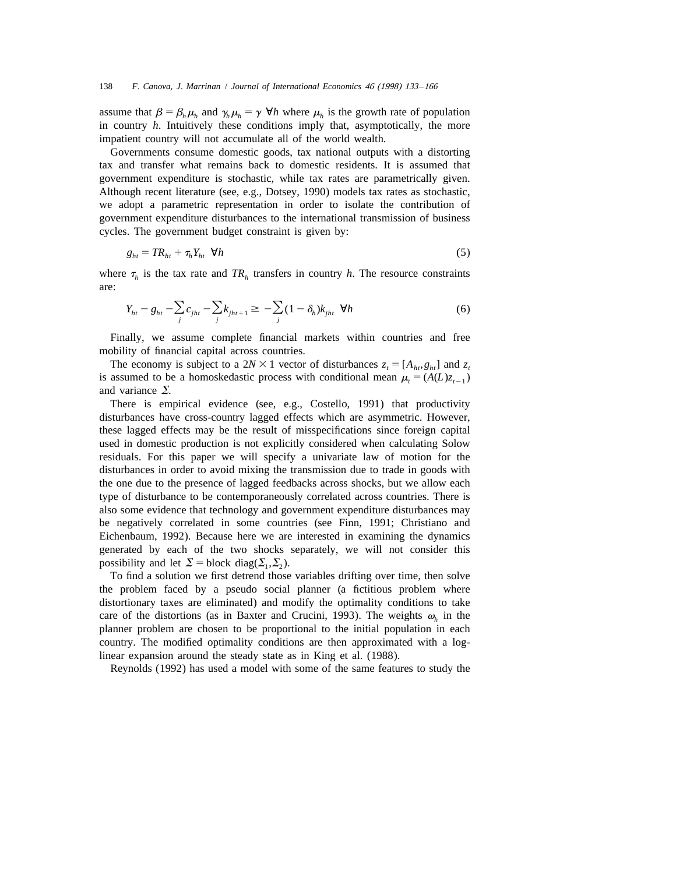assume that  $\beta = \beta_h \mu_h$  and  $\gamma_h \mu_h = \gamma \ \forall h$  where  $\mu_h$  is the growth rate of population in country *h*. Intuitively these conditions imply that, asymptotically, the more impatient country will not accumulate all of the world wealth.

Governments consume domestic goods, tax national outputs with a distorting tax and transfer what remains back to domestic residents. It is assumed that government expenditure is stochastic, while tax rates are parametrically given. Although recent literature (see, e.g., Dotsey, 1990) models tax rates as stochastic, we adopt a parametric representation in order to isolate the contribution of government expenditure disturbances to the international transmission of business cycles. The government budget constraint is given by:

$$
g_{ht} = TR_{ht} + \tau_h Y_{ht} \ \ \forall h \tag{5}
$$

where  $\tau_h$  is the tax rate and  $TR_h$  transfers in country *h*. The resource constraints are:

$$
Y_{ht} - g_{ht} - \sum_{j} c_{jht} - \sum_{j} k_{jht+1} \ge - \sum_{j} (1 - \delta_{h}) k_{jht} \ \forall h
$$
 (6)

Finally, we assume complete financial markets within countries and free mobility of financial capital across countries.

The economy is subject to a  $2N \times 1$  vector of disturbances  $z_t = [A_{ht}, g_{ht}]$  and  $z_t$ is assumed to be a homoskedastic process with conditional mean  $\mu_t = (A(L)z_{t-1})$ and variance  $\Sigma$ .

There is empirical evidence (see, e.g., Costello, 1991) that productivity disturbances have cross-country lagged effects which are asymmetric. However, these lagged effects may be the result of misspecifications since foreign capital used in domestic production is not explicitly considered when calculating Solow residuals. For this paper we will specify a univariate law of motion for the disturbances in order to avoid mixing the transmission due to trade in goods with the one due to the presence of lagged feedbacks across shocks, but we allow each type of disturbance to be contemporaneously correlated across countries. There is also some evidence that technology and government expenditure disturbances may be negatively correlated in some countries (see Finn, 1991; Christiano and Eichenbaum, 1992). Because here we are interested in examining the dynamics generated by each of the two shocks separately, we will not consider this possibility and let  $\Sigma = \text{block diag}(\Sigma_1, \Sigma_2)$ .

To find a solution we first detrend those variables drifting over time, then solve the problem faced by a pseudo social planner (a fictitious problem where distortionary taxes are eliminated) and modify the optimality conditions to take care of the distortions (as in Baxter and Crucini, 1993). The weights  $\omega_h$  in the planner problem are chosen to be proportional to the initial population in each country. The modified optimality conditions are then approximated with a loglinear expansion around the steady state as in King et al. (1988).

Reynolds (1992) has used a model with some of the same features to study the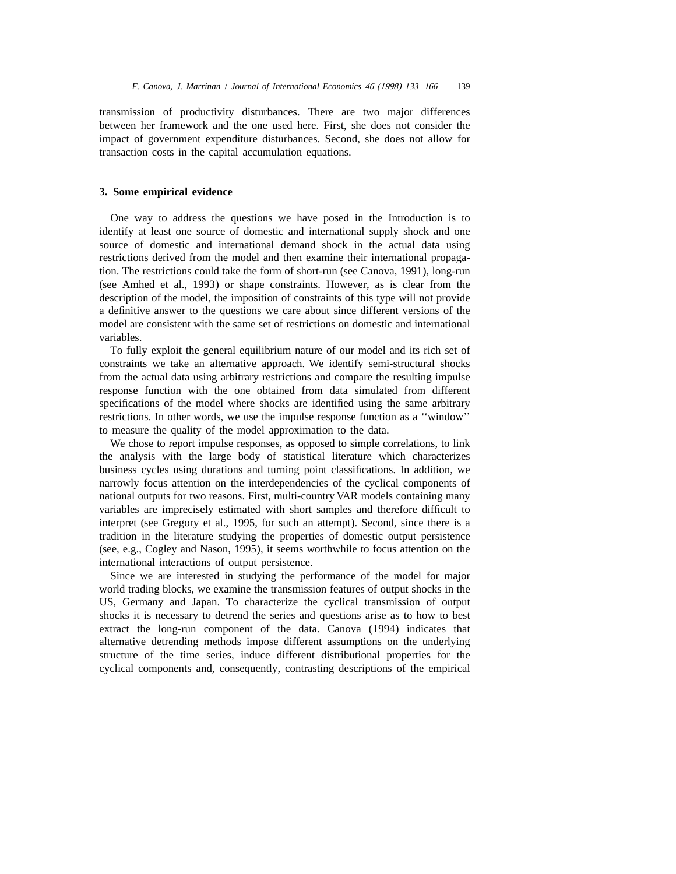transmission of productivity disturbances. There are two major differences between her framework and the one used here. First, she does not consider the impact of government expenditure disturbances. Second, she does not allow for transaction costs in the capital accumulation equations.

#### **3. Some empirical evidence**

One way to address the questions we have posed in the Introduction is to identify at least one source of domestic and international supply shock and one source of domestic and international demand shock in the actual data using restrictions derived from the model and then examine their international propagation. The restrictions could take the form of short-run (see Canova, 1991), long-run (see Amhed et al., 1993) or shape constraints. However, as is clear from the description of the model, the imposition of constraints of this type will not provide a definitive answer to the questions we care about since different versions of the model are consistent with the same set of restrictions on domestic and international variables.

To fully exploit the general equilibrium nature of our model and its rich set of constraints we take an alternative approach. We identify semi-structural shocks from the actual data using arbitrary restrictions and compare the resulting impulse response function with the one obtained from data simulated from different specifications of the model where shocks are identified using the same arbitrary restrictions. In other words, we use the impulse response function as a ''window'' to measure the quality of the model approximation to the data.

We chose to report impulse responses, as opposed to simple correlations, to link the analysis with the large body of statistical literature which characterizes business cycles using durations and turning point classifications. In addition, we narrowly focus attention on the interdependencies of the cyclical components of national outputs for two reasons. First, multi-country VAR models containing many variables are imprecisely estimated with short samples and therefore difficult to interpret (see Gregory et al., 1995, for such an attempt). Second, since there is a tradition in the literature studying the properties of domestic output persistence (see, e.g., Cogley and Nason, 1995), it seems worthwhile to focus attention on the international interactions of output persistence.

Since we are interested in studying the performance of the model for major world trading blocks, we examine the transmission features of output shocks in the US, Germany and Japan. To characterize the cyclical transmission of output shocks it is necessary to detrend the series and questions arise as to how to best extract the long-run component of the data. Canova (1994) indicates that alternative detrending methods impose different assumptions on the underlying structure of the time series, induce different distributional properties for the cyclical components and, consequently, contrasting descriptions of the empirical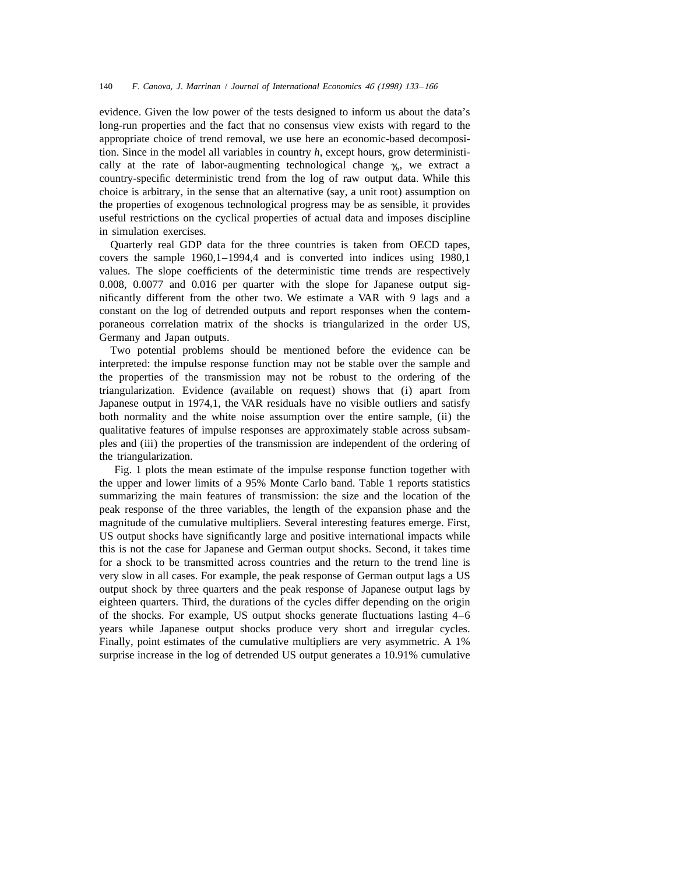evidence. Given the low power of the tests designed to inform us about the data's long-run properties and the fact that no consensus view exists with regard to the appropriate choice of trend removal, we use here an economic-based decomposition. Since in the model all variables in country *h*, except hours, grow deterministically at the rate of labor-augmenting technological change  $\gamma_h$ , we extract a country-specific deterministic trend from the log of raw output data. While this choice is arbitrary, in the sense that an alternative (say, a unit root) assumption on the properties of exogenous technological progress may be as sensible, it provides useful restrictions on the cyclical properties of actual data and imposes discipline in simulation exercises.

Quarterly real GDP data for the three countries is taken from OECD tapes, covers the sample 1960,1–1994,4 and is converted into indices using 1980,1 values. The slope coefficients of the deterministic time trends are respectively 0.008, 0.0077 and 0.016 per quarter with the slope for Japanese output significantly different from the other two. We estimate a VAR with 9 lags and a constant on the log of detrended outputs and report responses when the contemporaneous correlation matrix of the shocks is triangularized in the order US, Germany and Japan outputs.

Two potential problems should be mentioned before the evidence can be interpreted: the impulse response function may not be stable over the sample and the properties of the transmission may not be robust to the ordering of the triangularization. Evidence (available on request) shows that (i) apart from Japanese output in 1974,1, the VAR residuals have no visible outliers and satisfy both normality and the white noise assumption over the entire sample, (ii) the qualitative features of impulse responses are approximately stable across subsamples and (iii) the properties of the transmission are independent of the ordering of the triangularization.

Fig. 1 plots the mean estimate of the impulse response function together with the upper and lower limits of a 95% Monte Carlo band. Table 1 reports statistics summarizing the main features of transmission: the size and the location of the peak response of the three variables, the length of the expansion phase and the magnitude of the cumulative multipliers. Several interesting features emerge. First, US output shocks have significantly large and positive international impacts while this is not the case for Japanese and German output shocks. Second, it takes time for a shock to be transmitted across countries and the return to the trend line is very slow in all cases. For example, the peak response of German output lags a US output shock by three quarters and the peak response of Japanese output lags by eighteen quarters. Third, the durations of the cycles differ depending on the origin of the shocks. For example, US output shocks generate fluctuations lasting 4–6 years while Japanese output shocks produce very short and irregular cycles. Finally, point estimates of the cumulative multipliers are very asymmetric. A 1% surprise increase in the log of detrended US output generates a 10.91% cumulative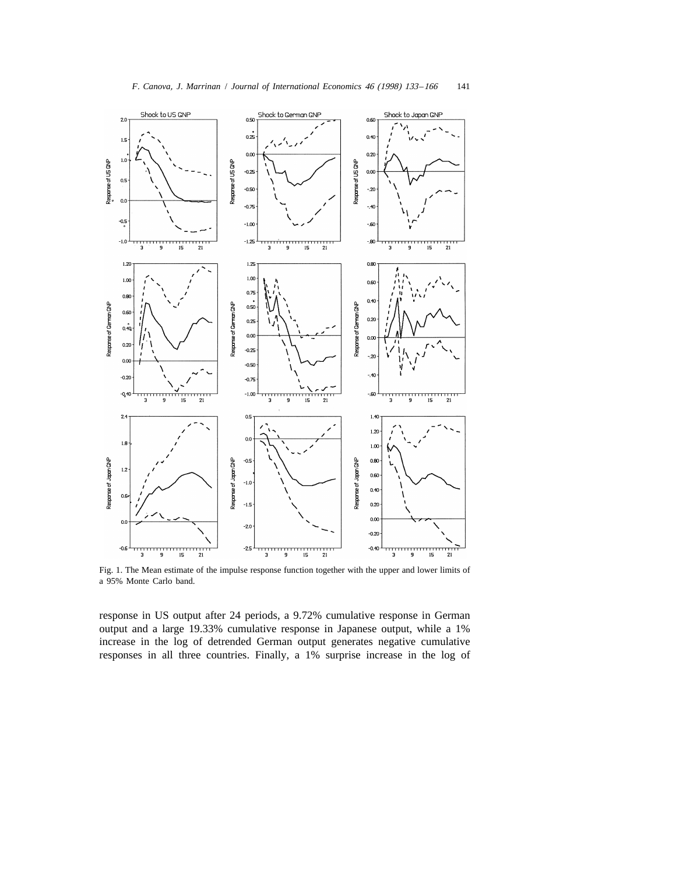

Fig. 1. The Mean estimate of the impulse response function together with the upper and lower limits of a 95% Monte Carlo band.

response in US output after 24 periods, a 9.72% cumulative response in German output and a large 19.33% cumulative response in Japanese output, while a 1% increase in the log of detrended German output generates negative cumulative responses in all three countries. Finally, a 1% surprise increase in the log of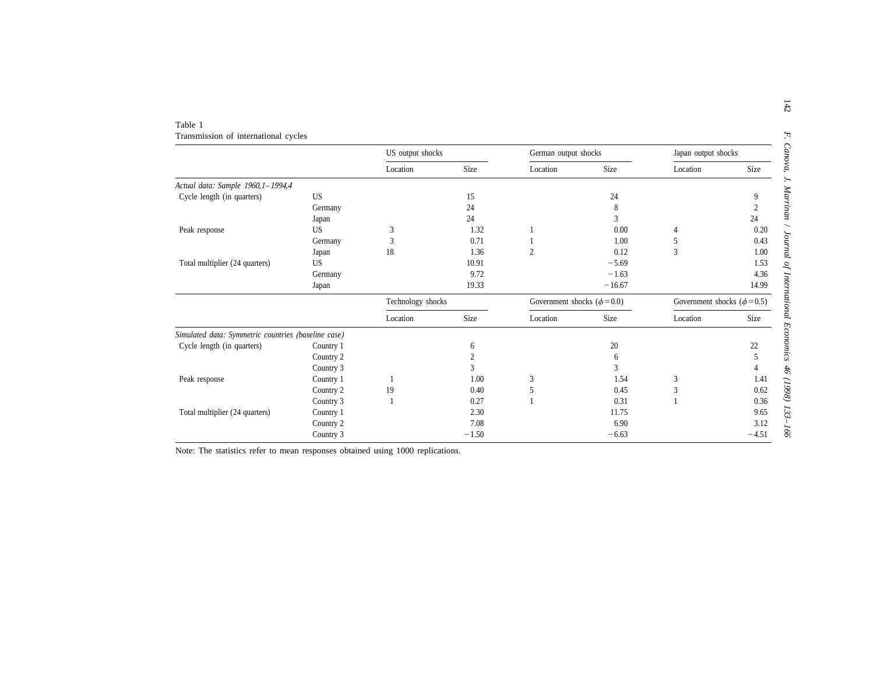| Table 1                              |  |  |
|--------------------------------------|--|--|
| Transmission of international cycles |  |  |

|                                                     |           | US output shocks  |         | German output shocks              |          | Japan output shocks              |         |
|-----------------------------------------------------|-----------|-------------------|---------|-----------------------------------|----------|----------------------------------|---------|
|                                                     |           | Location          | Size    | Location                          | Size     | Location                         | Size    |
| Actual data: Sample 1960,1-1994,4                   |           |                   |         |                                   |          |                                  |         |
| Cycle length (in quarters)                          | <b>US</b> |                   | 15      |                                   | 24       |                                  | 9       |
|                                                     | Germany   |                   | 24      |                                   | 8        |                                  |         |
|                                                     | Japan     |                   | 24      |                                   | 3        |                                  | 24      |
| Peak response                                       | <b>US</b> | 3                 | 1.32    |                                   | 0.00     |                                  | 0.20    |
|                                                     | Germany   | 3                 | 0.71    |                                   | 1.00     | 5                                | 0.43    |
|                                                     | Japan     | 18                | 1.36    |                                   | 0.12     | 3                                | 1.00    |
| Total multiplier (24 quarters)                      | <b>US</b> |                   | 10.91   |                                   | $-5.69$  |                                  | 1.53    |
|                                                     | Germany   |                   | 9.72    |                                   | $-1.63$  |                                  | 4.36    |
|                                                     | Japan     |                   | 19.33   |                                   | $-16.67$ |                                  | 14.99   |
|                                                     |           | Technology shocks |         | Government shocks ( $\phi$ = 0.0) |          | Government shocks ( $\phi$ =0.5) |         |
|                                                     |           | Location          | Size    | Location                          | Size     | Location                         | Size    |
| Simulated data: Symmetric countries (baseline case) |           |                   |         |                                   |          |                                  |         |
| Cycle length (in quarters)                          | Country 1 |                   | 6       |                                   | 20       |                                  | 22      |
|                                                     | Country 2 |                   | 2       |                                   | 6        |                                  | 5       |
|                                                     | Country 3 |                   | 3       |                                   | 3        |                                  | 4       |
| Peak response                                       | Country 1 |                   | 1.00    | 3                                 | 1.54     | 3                                | 1.41    |
|                                                     | Country 2 | 19                | 0.40    | 5                                 | 0.45     |                                  | 0.62    |
|                                                     | Country 3 |                   | 0.27    |                                   | 0.31     |                                  | 0.36    |
| Total multiplier (24 quarters)                      | Country 1 |                   | 2.30    |                                   | 11.75    |                                  | 9.65    |
|                                                     | Country 2 |                   | 7.08    |                                   | 6.90     |                                  | 3.12    |
|                                                     | Country 3 |                   | $-1.50$ |                                   | $-6.63$  |                                  | $-4.51$ |

Note: The statistics refer to mean responses obtained using 1000 replications.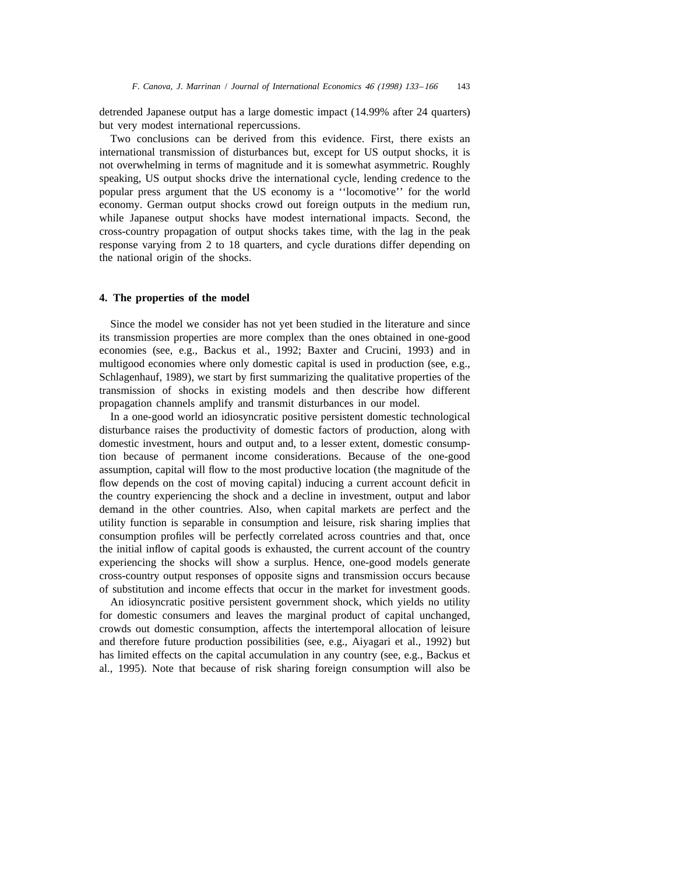detrended Japanese output has a large domestic impact (14.99% after 24 quarters) but very modest international repercussions.

Two conclusions can be derived from this evidence. First, there exists an international transmission of disturbances but, except for US output shocks, it is not overwhelming in terms of magnitude and it is somewhat asymmetric. Roughly speaking, US output shocks drive the international cycle, lending credence to the popular press argument that the US economy is a ''locomotive'' for the world economy. German output shocks crowd out foreign outputs in the medium run, while Japanese output shocks have modest international impacts. Second, the cross-country propagation of output shocks takes time, with the lag in the peak response varying from 2 to 18 quarters, and cycle durations differ depending on the national origin of the shocks.

#### **4. The properties of the model**

Since the model we consider has not yet been studied in the literature and since its transmission properties are more complex than the ones obtained in one-good economies (see, e.g., Backus et al., 1992; Baxter and Crucini, 1993) and in multigood economies where only domestic capital is used in production (see, e.g., Schlagenhauf, 1989), we start by first summarizing the qualitative properties of the transmission of shocks in existing models and then describe how different propagation channels amplify and transmit disturbances in our model.

In a one-good world an idiosyncratic positive persistent domestic technological disturbance raises the productivity of domestic factors of production, along with domestic investment, hours and output and, to a lesser extent, domestic consumption because of permanent income considerations. Because of the one-good assumption, capital will flow to the most productive location (the magnitude of the flow depends on the cost of moving capital) inducing a current account deficit in the country experiencing the shock and a decline in investment, output and labor demand in the other countries. Also, when capital markets are perfect and the utility function is separable in consumption and leisure, risk sharing implies that consumption profiles will be perfectly correlated across countries and that, once the initial inflow of capital goods is exhausted, the current account of the country experiencing the shocks will show a surplus. Hence, one-good models generate cross-country output responses of opposite signs and transmission occurs because of substitution and income effects that occur in the market for investment goods.

An idiosyncratic positive persistent government shock, which yields no utility for domestic consumers and leaves the marginal product of capital unchanged, crowds out domestic consumption, affects the intertemporal allocation of leisure and therefore future production possibilities (see, e.g., Aiyagari et al., 1992) but has limited effects on the capital accumulation in any country (see, e.g., Backus et al., 1995). Note that because of risk sharing foreign consumption will also be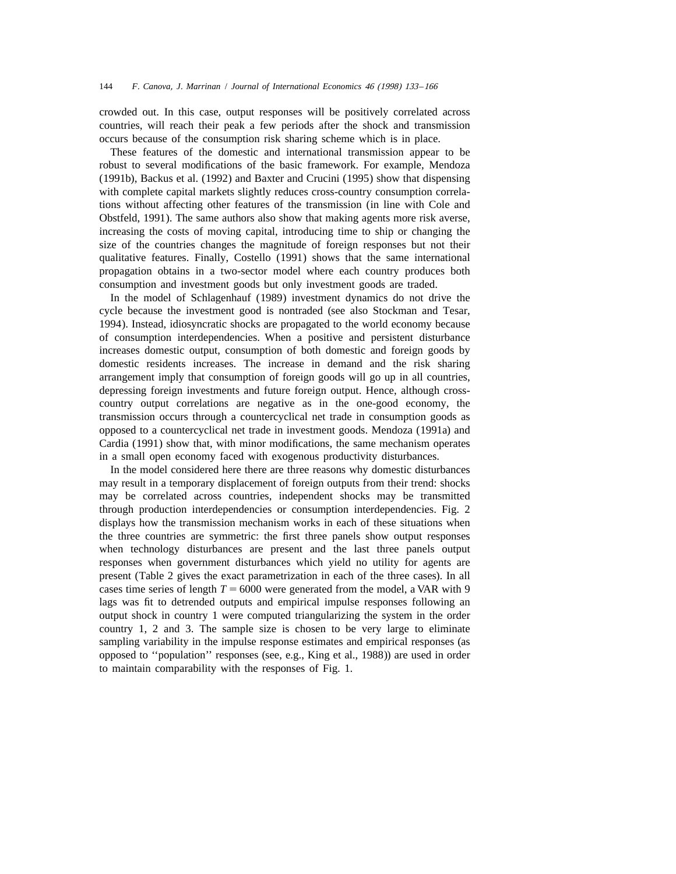crowded out. In this case, output responses will be positively correlated across countries, will reach their peak a few periods after the shock and transmission occurs because of the consumption risk sharing scheme which is in place.

These features of the domestic and international transmission appear to be robust to several modifications of the basic framework. For example, Mendoza (1991b), Backus et al. (1992) and Baxter and Crucini (1995) show that dispensing with complete capital markets slightly reduces cross-country consumption correlations without affecting other features of the transmission (in line with Cole and Obstfeld, 1991). The same authors also show that making agents more risk averse, increasing the costs of moving capital, introducing time to ship or changing the size of the countries changes the magnitude of foreign responses but not their qualitative features. Finally, Costello (1991) shows that the same international propagation obtains in a two-sector model where each country produces both consumption and investment goods but only investment goods are traded.

In the model of Schlagenhauf (1989) investment dynamics do not drive the cycle because the investment good is nontraded (see also Stockman and Tesar, 1994). Instead, idiosyncratic shocks are propagated to the world economy because of consumption interdependencies. When a positive and persistent disturbance increases domestic output, consumption of both domestic and foreign goods by domestic residents increases. The increase in demand and the risk sharing arrangement imply that consumption of foreign goods will go up in all countries, depressing foreign investments and future foreign output. Hence, although crosscountry output correlations are negative as in the one-good economy, the transmission occurs through a countercyclical net trade in consumption goods as opposed to a countercyclical net trade in investment goods. Mendoza (1991a) and Cardia (1991) show that, with minor modifications, the same mechanism operates in a small open economy faced with exogenous productivity disturbances.

In the model considered here there are three reasons why domestic disturbances may result in a temporary displacement of foreign outputs from their trend: shocks may be correlated across countries, independent shocks may be transmitted through production interdependencies or consumption interdependencies. Fig. 2 displays how the transmission mechanism works in each of these situations when the three countries are symmetric: the first three panels show output responses when technology disturbances are present and the last three panels output responses when government disturbances which yield no utility for agents are present (Table 2 gives the exact parametrization in each of the three cases). In all cases time series of length  $T = 6000$  were generated from the model, a VAR with 9 lags was fit to detrended outputs and empirical impulse responses following an output shock in country 1 were computed triangularizing the system in the order country 1, 2 and 3. The sample size is chosen to be very large to eliminate sampling variability in the impulse response estimates and empirical responses (as opposed to ''population'' responses (see, e.g., King et al., 1988)) are used in order to maintain comparability with the responses of Fig. 1.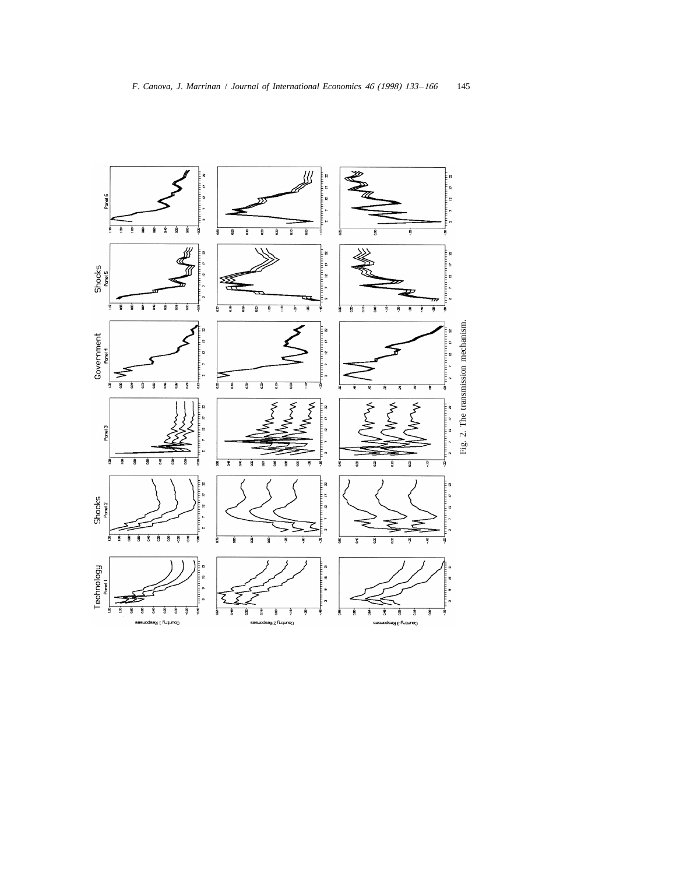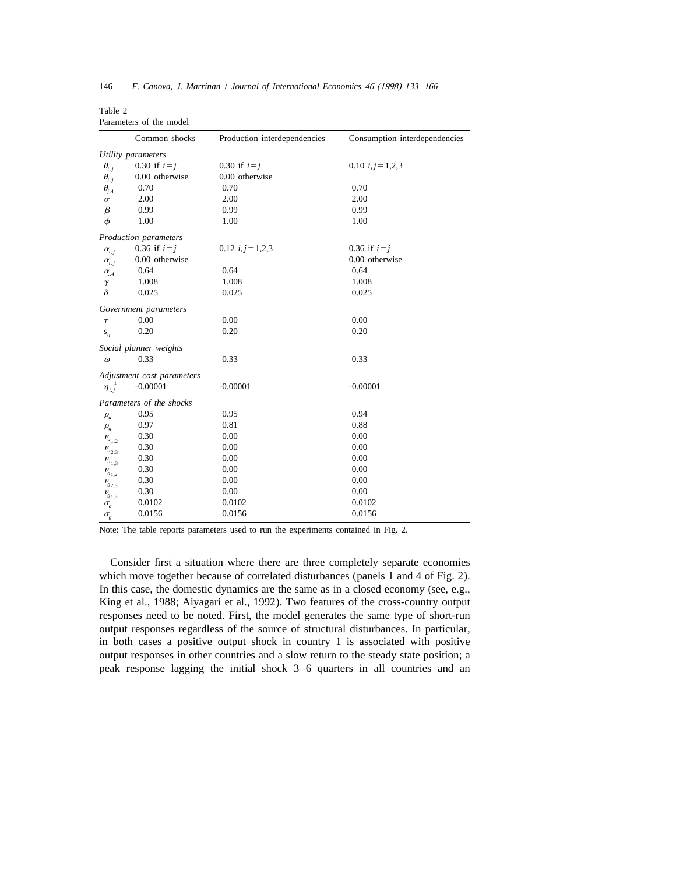|                                    | Common shocks              | Production interdependencies | Consumption interdependencies |
|------------------------------------|----------------------------|------------------------------|-------------------------------|
|                                    | Utility parameters         |                              |                               |
| $\theta_{i,j}$                     | 0.30 if $i = j$            | 0.30 if $i = j$              | 0.10 $i, j = 1, 2, 3$         |
| $\theta_{i,j}$                     | 0.00 otherwise             | 0.00 otherwise               |                               |
| $\theta_{j,4}$                     | 0.70                       | 0.70                         | 0.70                          |
| $\sigma$                           | 2.00                       | 2.00                         | 2.00                          |
| $\beta$                            | 0.99                       | 0.99                         | 0.99                          |
| $\phi$                             | 1.00                       | 1.00                         | 1.00                          |
|                                    | Production parameters      |                              |                               |
| $\alpha_{i,i}$                     | 0.36 if $i = j$            | 0.12 $i, j = 1, 2, 3$        | 0.36 if $i = j$               |
| $\alpha_{i,j}$                     | 0.00 otherwise             |                              | 0.00 otherwise                |
| $\alpha_{.4}$                      | 0.64                       | 0.64                         | 0.64                          |
| $\gamma$                           | 1.008                      | 1.008                        | 1.008                         |
| δ                                  | 0.025                      | 0.025                        | 0.025                         |
|                                    | Government parameters      |                              |                               |
| $\tau$                             | 0.00                       | 0.00                         | 0.00                          |
| $S_{g}$                            | 0.20                       | 0.20                         | 0.20                          |
|                                    | Social planner weights     |                              |                               |
| $\omega$                           | 0.33                       | 0.33                         | 0.33                          |
|                                    | Adjustment cost parameters |                              |                               |
| $\boldsymbol{\eta}_{i,j}^{-1}$     | $-0.00001$                 | $-0.00001$                   | $-0.00001$                    |
|                                    | Parameters of the shocks   |                              |                               |
| $\rho_a$                           | 0.95                       | 0.95                         | 0.94                          |
| $\rho_{\scriptscriptstyle g}$      | 0.97                       | 0.81                         | 0.88                          |
| $\nu_{_{a_{1,2}}}$                 | 0.30                       | 0.00                         | 0.00                          |
| $\nu_{\!a_{2,3}}$                  | 0.30                       | 0.00                         | 0.00                          |
| $\nu_{a_{1,3}}$                    | 0.30                       | 0.00                         | 0.00                          |
| $\nu_{g_{1,2}}^{}$                 | 0.30                       | 0.00                         | 0.00                          |
| $\nu_{\scriptscriptstyle g_{2,3}}$ | 0.30                       | 0.00                         | 0.00                          |
| $\nu_{g_{1,3}}^{}$                 | 0.30                       | 0.00                         | 0.00                          |
| $\sigma_{\scriptscriptstyle a}$    | 0.0102                     | 0.0102                       | 0.0102                        |
| $\sigma_{g}$                       | 0.0156                     | 0.0156                       | 0.0156                        |

| Table 2                 |  |  |
|-------------------------|--|--|
| Parameters of the model |  |  |

Note: The table reports parameters used to run the experiments contained in Fig. 2.

Consider first a situation where there are three completely separate economies which move together because of correlated disturbances (panels 1 and 4 of Fig. 2). In this case, the domestic dynamics are the same as in a closed economy (see, e.g., King et al., 1988; Aiyagari et al., 1992). Two features of the cross-country output responses need to be noted. First, the model generates the same type of short-run output responses regardless of the source of structural disturbances. In particular, in both cases a positive output shock in country 1 is associated with positive output responses in other countries and a slow return to the steady state position; a peak response lagging the initial shock 3–6 quarters in all countries and an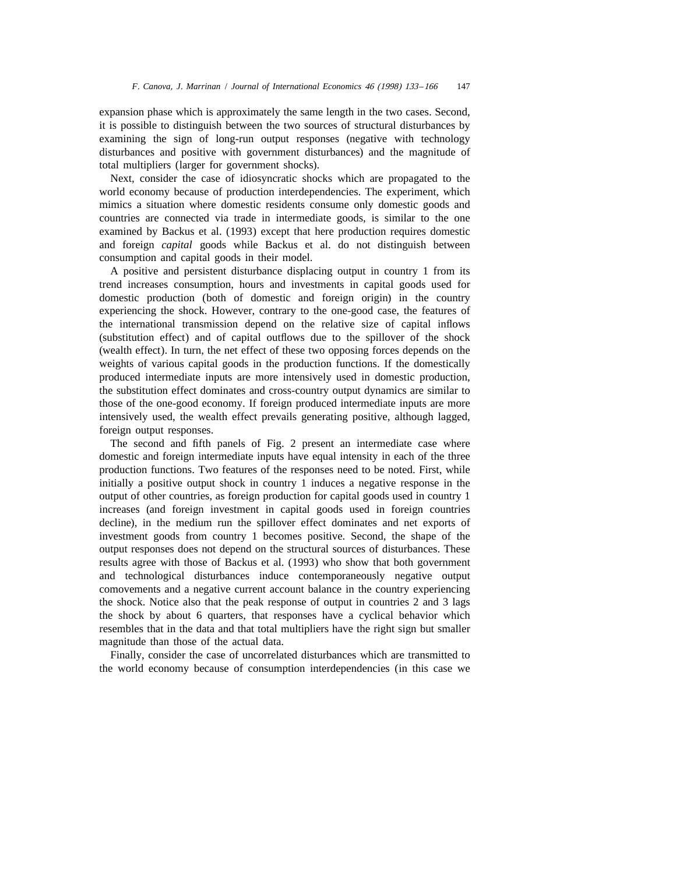expansion phase which is approximately the same length in the two cases. Second, it is possible to distinguish between the two sources of structural disturbances by examining the sign of long-run output responses (negative with technology disturbances and positive with government disturbances) and the magnitude of total multipliers (larger for government shocks).

Next, consider the case of idiosyncratic shocks which are propagated to the world economy because of production interdependencies. The experiment, which mimics a situation where domestic residents consume only domestic goods and countries are connected via trade in intermediate goods, is similar to the one examined by Backus et al. (1993) except that here production requires domestic and foreign *capital* goods while Backus et al. do not distinguish between consumption and capital goods in their model.

A positive and persistent disturbance displacing output in country 1 from its trend increases consumption, hours and investments in capital goods used for domestic production (both of domestic and foreign origin) in the country experiencing the shock. However, contrary to the one-good case, the features of the international transmission depend on the relative size of capital inflows (substitution effect) and of capital outflows due to the spillover of the shock (wealth effect). In turn, the net effect of these two opposing forces depends on the weights of various capital goods in the production functions. If the domestically produced intermediate inputs are more intensively used in domestic production, the substitution effect dominates and cross-country output dynamics are similar to those of the one-good economy. If foreign produced intermediate inputs are more intensively used, the wealth effect prevails generating positive, although lagged, foreign output responses.

The second and fifth panels of Fig. 2 present an intermediate case where domestic and foreign intermediate inputs have equal intensity in each of the three production functions. Two features of the responses need to be noted. First, while initially a positive output shock in country 1 induces a negative response in the output of other countries, as foreign production for capital goods used in country 1 increases (and foreign investment in capital goods used in foreign countries decline), in the medium run the spillover effect dominates and net exports of investment goods from country 1 becomes positive. Second, the shape of the output responses does not depend on the structural sources of disturbances. These results agree with those of Backus et al. (1993) who show that both government and technological disturbances induce contemporaneously negative output comovements and a negative current account balance in the country experiencing the shock. Notice also that the peak response of output in countries 2 and 3 lags the shock by about 6 quarters, that responses have a cyclical behavior which resembles that in the data and that total multipliers have the right sign but smaller magnitude than those of the actual data.

Finally, consider the case of uncorrelated disturbances which are transmitted to the world economy because of consumption interdependencies (in this case we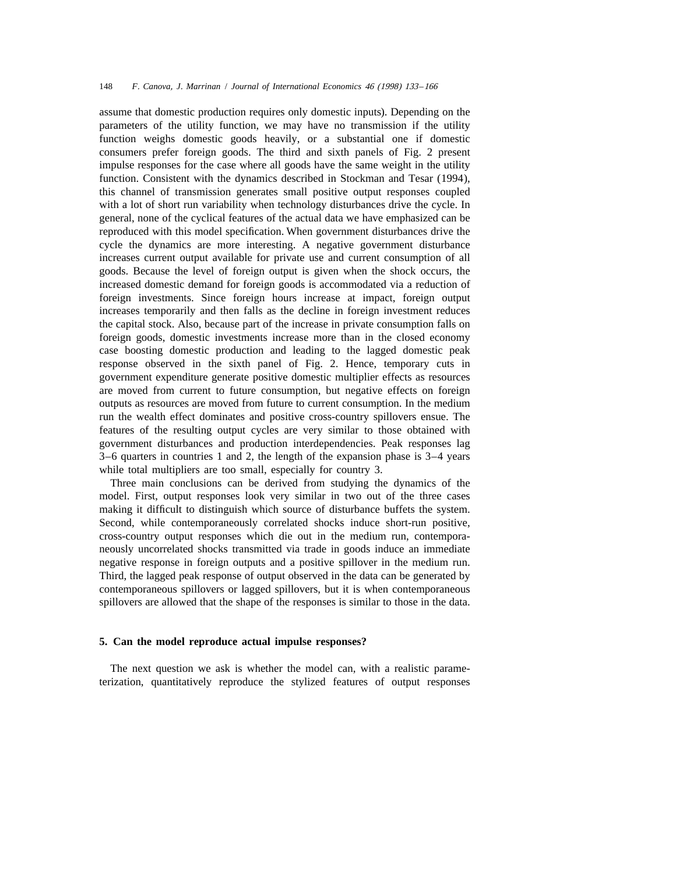assume that domestic production requires only domestic inputs). Depending on the parameters of the utility function, we may have no transmission if the utility function weighs domestic goods heavily, or a substantial one if domestic consumers prefer foreign goods. The third and sixth panels of Fig. 2 present impulse responses for the case where all goods have the same weight in the utility function. Consistent with the dynamics described in Stockman and Tesar (1994), this channel of transmission generates small positive output responses coupled with a lot of short run variability when technology disturbances drive the cycle. In general, none of the cyclical features of the actual data we have emphasized can be reproduced with this model specification. When government disturbances drive the cycle the dynamics are more interesting. A negative government disturbance increases current output available for private use and current consumption of all goods. Because the level of foreign output is given when the shock occurs, the increased domestic demand for foreign goods is accommodated via a reduction of foreign investments. Since foreign hours increase at impact, foreign output increases temporarily and then falls as the decline in foreign investment reduces the capital stock. Also, because part of the increase in private consumption falls on foreign goods, domestic investments increase more than in the closed economy case boosting domestic production and leading to the lagged domestic peak response observed in the sixth panel of Fig. 2. Hence, temporary cuts in government expenditure generate positive domestic multiplier effects as resources are moved from current to future consumption, but negative effects on foreign outputs as resources are moved from future to current consumption. In the medium run the wealth effect dominates and positive cross-country spillovers ensue. The features of the resulting output cycles are very similar to those obtained with government disturbances and production interdependencies. Peak responses lag 3–6 quarters in countries 1 and 2, the length of the expansion phase is 3–4 years while total multipliers are too small, especially for country 3.

Three main conclusions can be derived from studying the dynamics of the model. First, output responses look very similar in two out of the three cases making it difficult to distinguish which source of disturbance buffets the system. Second, while contemporaneously correlated shocks induce short-run positive, cross-country output responses which die out in the medium run, contemporaneously uncorrelated shocks transmitted via trade in goods induce an immediate negative response in foreign outputs and a positive spillover in the medium run. Third, the lagged peak response of output observed in the data can be generated by contemporaneous spillovers or lagged spillovers, but it is when contemporaneous spillovers are allowed that the shape of the responses is similar to those in the data.

# **5. Can the model reproduce actual impulse responses?**

The next question we ask is whether the model can, with a realistic parameterization, quantitatively reproduce the stylized features of output responses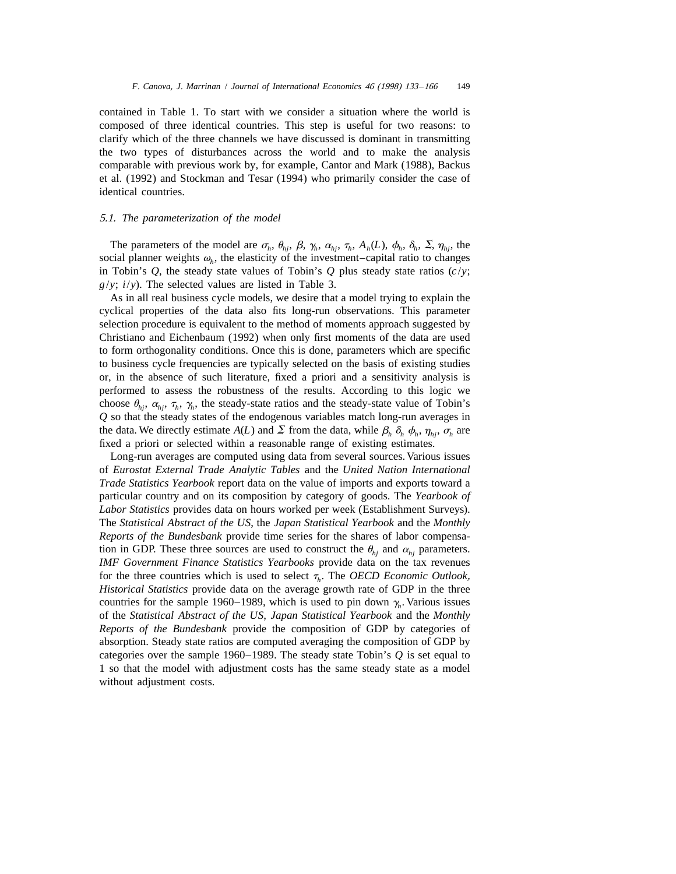contained in Table 1. To start with we consider a situation where the world is composed of three identical countries. This step is useful for two reasons: to clarify which of the three channels we have discussed is dominant in transmitting the two types of disturbances across the world and to make the analysis comparable with previous work by, for example, Cantor and Mark (1988), Backus et al. (1992) and Stockman and Tesar (1994) who primarily consider the case of identical countries.

#### 5.1. *The parameterization of the model*

The parameters of the model are  $\sigma_h$ ,  $\theta_h$ ,  $\beta$ ,  $\gamma_h$ ,  $\alpha_{hi}$ ,  $\tau_h$ ,  $A_h(L)$ ,  $\phi_h$ ,  $\delta_h$ ,  $\Sigma$ ,  $\eta_{hi}$ , the social planner weights  $\omega_h$ , the elasticity of the investment–capital ratio to changes in Tobin's  $Q$ , the steady state values of Tobin's  $Q$  plus steady state ratios  $(c/y;$ *g*/*y*; *i*/*y*). The selected values are listed in Table 3.

As in all real business cycle models, we desire that a model trying to explain the cyclical properties of the data also fits long-run observations. This parameter selection procedure is equivalent to the method of moments approach suggested by Christiano and Eichenbaum (1992) when only first moments of the data are used to form orthogonality conditions. Once this is done, parameters which are specific to business cycle frequencies are typically selected on the basis of existing studies or, in the absence of such literature, fixed a priori and a sensitivity analysis is performed to assess the robustness of the results. According to this logic we choose  $\theta_h$ ,  $\alpha_h$ ,  $\tau_h$ ,  $\gamma_h$ , the steady-state ratios and the steady-state value of Tobin's *Q* so that the steady states of the endogenous variables match long-run averages in the data. We directly estimate  $A(L)$  and  $\Sigma$  from the data, while  $\beta_h$ ,  $\delta_h$ ,  $\phi_h$ ,  $\eta_h$ ,  $\sigma_h$  are fixed a priori or selected within a reasonable range of existing estimates.

Long-run averages are computed using data from several sources. Various issues of *Eurostat External Trade Analytic Tables* and the *United Nation International Trade Statistics Yearbook* report data on the value of imports and exports toward a particular country and on its composition by category of goods. The *Yearbook of Labor Statistics* provides data on hours worked per week (Establishment Surveys). The *Statistical Abstract of the US*, the *Japan Statistical Yearbook* and the *Monthly Reports of the Bundesbank* provide time series for the shares of labor compensation in GDP. These three sources are used to construct the  $\theta_{hi}$  and  $\alpha_{hi}$  parameters. *IMF Government Finance Statistics Yearbooks* provide data on the tax revenues for the three countries which is used to select  $\tau_{\mu}$ . The *OECD Economic Outlook*, *Historical Statistics* provide data on the average growth rate of GDP in the three countries for the sample 1960–1989, which is used to pin down  $\gamma$ <sub>h</sub>. Various issues of the *Statistical Abstract of the US*, *Japan Statistical Yearbook* and the *Monthly Reports of the Bundesbank* provide the composition of GDP by categories of absorption. Steady state ratios are computed averaging the composition of GDP by categories over the sample 1960–1989. The steady state Tobin's *Q* is set equal to 1 so that the model with adjustment costs has the same steady state as a model without adjustment costs.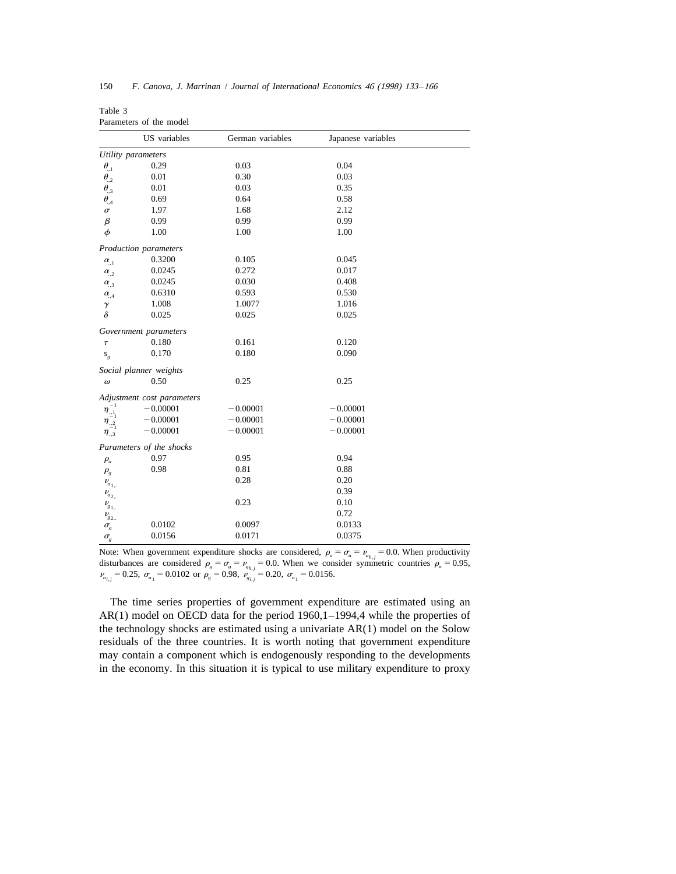|                                   | US variables               | German variables | Japanese variables |  |
|-----------------------------------|----------------------------|------------------|--------------------|--|
|                                   | Utility parameters         |                  |                    |  |
| $\theta_{.1}$                     | 0.29                       | 0.03             | 0.04               |  |
| $\theta_{.2}$                     | 0.01                       | 0.30             | 0.03               |  |
| $\theta_{\cdot,3}$                | 0.01                       | 0.03             | 0.35               |  |
| $\theta_{\rm ,4}$                 | 0.69                       | 0.64             | 0.58               |  |
| $\sigma$                          | 1.97                       | 1.68             | 2.12               |  |
| $\beta$                           | 0.99                       | 0.99             | 0.99               |  |
| $\phi$                            | 1.00                       | 1.00             | 1.00               |  |
|                                   | Production parameters      |                  |                    |  |
| $\alpha_{.1}$                     | 0.3200                     | 0.105            | 0.045              |  |
| $\alpha_{.2}$                     | 0.0245                     | 0.272            | 0.017              |  |
| $\alpha_{.3}$                     | 0.0245                     | 0.030            | 0.408              |  |
| $\alpha_{.4}$                     | 0.6310                     | 0.593            | 0.530              |  |
| $\gamma$                          | 1.008                      | 1.0077           | 1.016              |  |
| $\delta$                          | 0.025                      | 0.025            | 0.025              |  |
|                                   | Government parameters      |                  |                    |  |
| $\tau$                            | 0.180                      | 0.161            | 0.120              |  |
| $\boldsymbol{s}_{\boldsymbol{s}}$ | 0.170                      | 0.180            | 0.090              |  |
|                                   | Social planner weights     |                  |                    |  |
| $\omega$                          | 0.50                       | 0.25             | 0.25               |  |
|                                   | Adjustment cost parameters |                  |                    |  |
| $\boldsymbol{\eta}_{.,1}^{-1}$    | $-0.00001$                 | $-0.00001$       | $-0.00001$         |  |
| $\eta_{.2}^{-1}$                  | $-0.00001$                 | $-0.00001$       | $-0.00001$         |  |
| $\eta_{.,3}^{-1}$                 | $-0.00001$                 | $-0.00001$       | $-0.00001$         |  |
|                                   | Parameters of the shocks   |                  |                    |  |
| $\rho_a$                          | 0.97                       | 0.95             | 0.94               |  |
| $\rho_{\rm g}$                    | 0.98                       | 0.81             | 0.88               |  |
| $v_{a_{1}}$                       |                            | 0.28             | 0.20               |  |
| $\nu_{a_2}$                       |                            |                  | 0.39               |  |
| $\nu_{g_{1}}$                     |                            | 0.23             | 0.10               |  |
| $\nu_{g_{2}n}$                    |                            |                  | 0.72               |  |
| $\sigma_{\!a}$                    | 0.0102                     | 0.0097           | 0.0133             |  |
| $\sigma_{g}$                      | 0.0156                     | 0.0171           | 0.0375             |  |

Table 3 Parameters of the model

Note: When government expenditure shocks are considered,  $\rho_a = \sigma_a = \nu_{a_{h,i}} = 0.0$ . When productivity disturbances are considered  $\rho_g = \sigma_g = v_{g_{h,j}} = 0.0$ . When we consider symmetric countries  $\rho_a = 0.95$ ,  $\nu_{a_{i,j}} = 0.25, \ \n\sigma_{a_1} = 0.0102 \text{ or } \rho_g = 0.98, \ \n\nu_{g_{i,j}} = 0.20, \ \n\sigma_{a_1} = 0.0156.$ 

The time series properties of government expenditure are estimated using an AR(1) model on OECD data for the period 1960,1–1994,4 while the properties of the technology shocks are estimated using a univariate AR(1) model on the Solow residuals of the three countries. It is worth noting that government expenditure may contain a component which is endogenously responding to the developments in the economy. In this situation it is typical to use military expenditure to proxy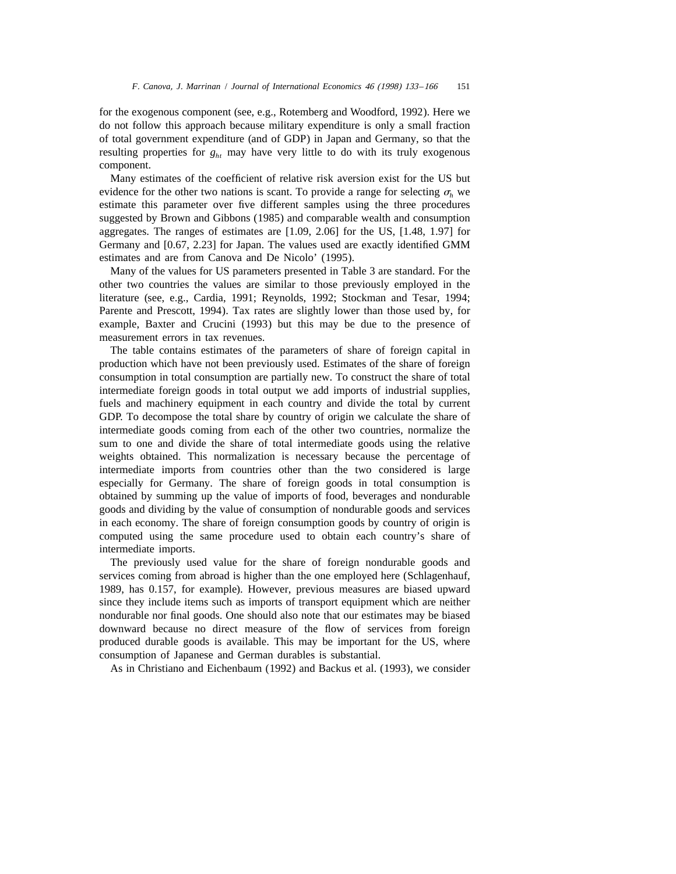for the exogenous component (see, e.g., Rotemberg and Woodford, 1992). Here we do not follow this approach because military expenditure is only a small fraction of total government expenditure (and of GDP) in Japan and Germany, so that the resulting properties for  $g_{i}$  may have very little to do with its truly exogenous component.

Many estimates of the coefficient of relative risk aversion exist for the US but evidence for the other two nations is scant. To provide a range for selecting  $\sigma_h$  we estimate this parameter over five different samples using the three procedures suggested by Brown and Gibbons (1985) and comparable wealth and consumption aggregates. The ranges of estimates are [1.09, 2.06] for the US, [1.48, 1.97] for Germany and [0.67, 2.23] for Japan. The values used are exactly identified GMM estimates and are from Canova and De Nicolo' (1995).

Many of the values for US parameters presented in Table 3 are standard. For the other two countries the values are similar to those previously employed in the literature (see, e.g., Cardia, 1991; Reynolds, 1992; Stockman and Tesar, 1994; Parente and Prescott, 1994). Tax rates are slightly lower than those used by, for example, Baxter and Crucini (1993) but this may be due to the presence of measurement errors in tax revenues.

The table contains estimates of the parameters of share of foreign capital in production which have not been previously used. Estimates of the share of foreign consumption in total consumption are partially new. To construct the share of total intermediate foreign goods in total output we add imports of industrial supplies, fuels and machinery equipment in each country and divide the total by current GDP. To decompose the total share by country of origin we calculate the share of intermediate goods coming from each of the other two countries, normalize the sum to one and divide the share of total intermediate goods using the relative weights obtained. This normalization is necessary because the percentage of intermediate imports from countries other than the two considered is large especially for Germany. The share of foreign goods in total consumption is obtained by summing up the value of imports of food, beverages and nondurable goods and dividing by the value of consumption of nondurable goods and services in each economy. The share of foreign consumption goods by country of origin is computed using the same procedure used to obtain each country's share of intermediate imports.

The previously used value for the share of foreign nondurable goods and services coming from abroad is higher than the one employed here (Schlagenhauf, 1989, has 0.157, for example). However, previous measures are biased upward since they include items such as imports of transport equipment which are neither nondurable nor final goods. One should also note that our estimates may be biased downward because no direct measure of the flow of services from foreign produced durable goods is available. This may be important for the US, where consumption of Japanese and German durables is substantial.

As in Christiano and Eichenbaum (1992) and Backus et al. (1993), we consider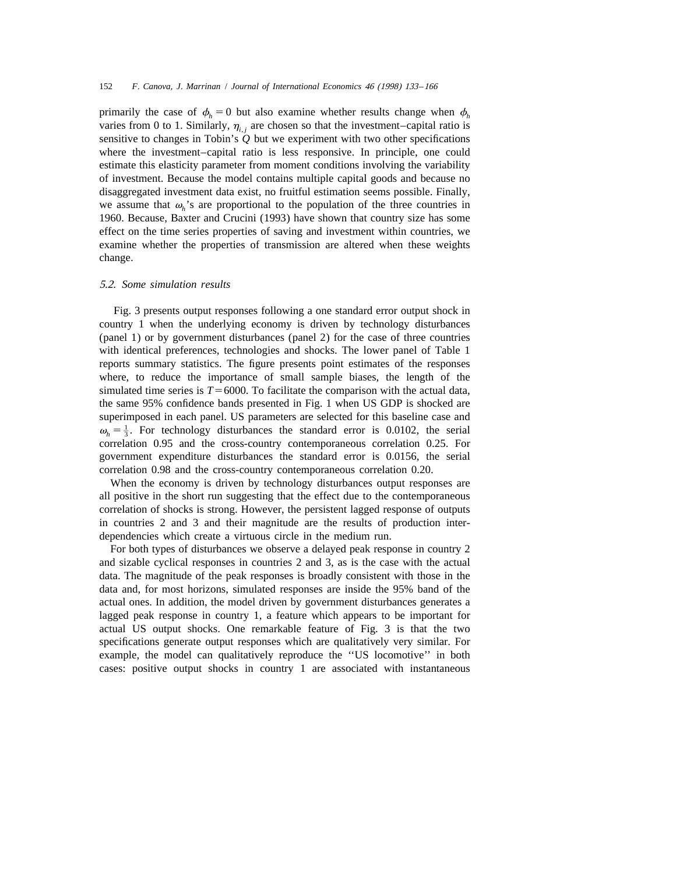primarily the case of  $\phi_h = 0$  but also examine whether results change when  $\phi_h$ varies from 0 to 1. Similarly,  $\eta_{i,j}$  are chosen so that the investment–capital ratio is sensitive to changes in Tobin's  $Q$  but we experiment with two other specifications where the investment–capital ratio is less responsive. In principle, one could estimate this elasticity parameter from moment conditions involving the variability of investment. Because the model contains multiple capital goods and because no disaggregated investment data exist, no fruitful estimation seems possible. Finally, we assume that  $\omega$ <sub>*i*</sub>'s are proportional to the population of the three countries in 1960. Because, Baxter and Crucini (1993) have shown that country size has some effect on the time series properties of saving and investment within countries, we examine whether the properties of transmission are altered when these weights change.

# 5.2. *Some simulation results*

Fig. 3 presents output responses following a one standard error output shock in country 1 when the underlying economy is driven by technology disturbances (panel 1) or by government disturbances (panel 2) for the case of three countries with identical preferences, technologies and shocks. The lower panel of Table 1 reports summary statistics. The figure presents point estimates of the responses where, to reduce the importance of small sample biases, the length of the simulated time series is  $T=6000$ . To facilitate the comparison with the actual data, the same 95% confidence bands presented in Fig. 1 when US GDP is shocked are superimposed in each panel. US parameters are selected for this baseline case and  $\omega_{h} = \frac{1}{3}$ . For technology disturbances the standard error is 0.0102, the serial correlation 0.95 and the cross-country contemporaneous correlation 0.25. For government expenditure disturbances the standard error is 0.0156, the serial correlation 0.98 and the cross-country contemporaneous correlation 0.20.

When the economy is driven by technology disturbances output responses are all positive in the short run suggesting that the effect due to the contemporaneous correlation of shocks is strong. However, the persistent lagged response of outputs in countries 2 and 3 and their magnitude are the results of production interdependencies which create a virtuous circle in the medium run.

For both types of disturbances we observe a delayed peak response in country 2 and sizable cyclical responses in countries 2 and 3, as is the case with the actual data. The magnitude of the peak responses is broadly consistent with those in the data and, for most horizons, simulated responses are inside the 95% band of the actual ones. In addition, the model driven by government disturbances generates a lagged peak response in country 1, a feature which appears to be important for actual US output shocks. One remarkable feature of Fig. 3 is that the two specifications generate output responses which are qualitatively very similar. For example, the model can qualitatively reproduce the ''US locomotive'' in both cases: positive output shocks in country 1 are associated with instantaneous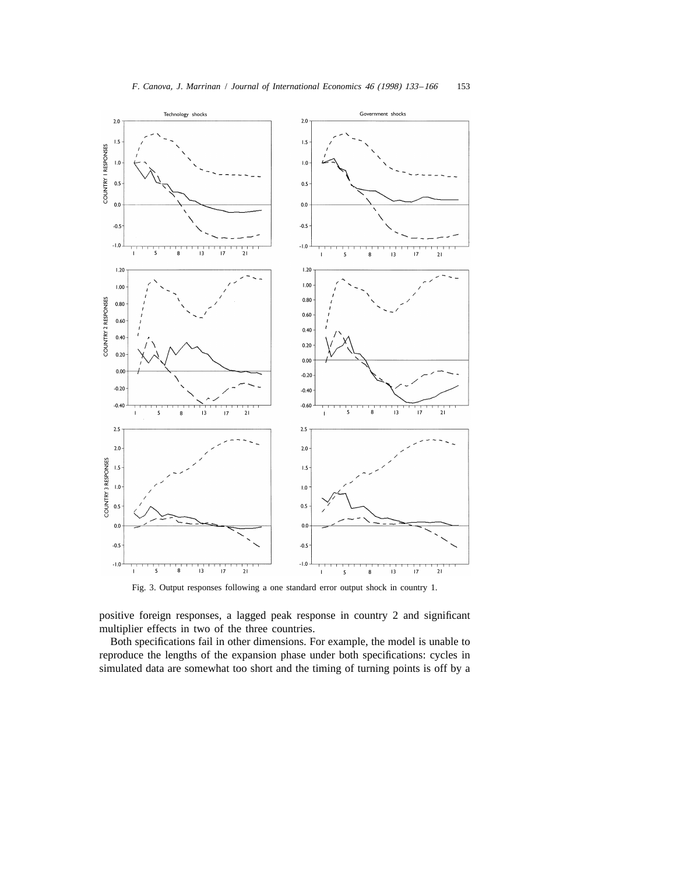

Fig. 3. Output responses following a one standard error output shock in country 1.

positive foreign responses, a lagged peak response in country 2 and significant multiplier effects in two of the three countries.

Both specifications fail in other dimensions. For example, the model is unable to reproduce the lengths of the expansion phase under both specifications: cycles in simulated data are somewhat too short and the timing of turning points is off by a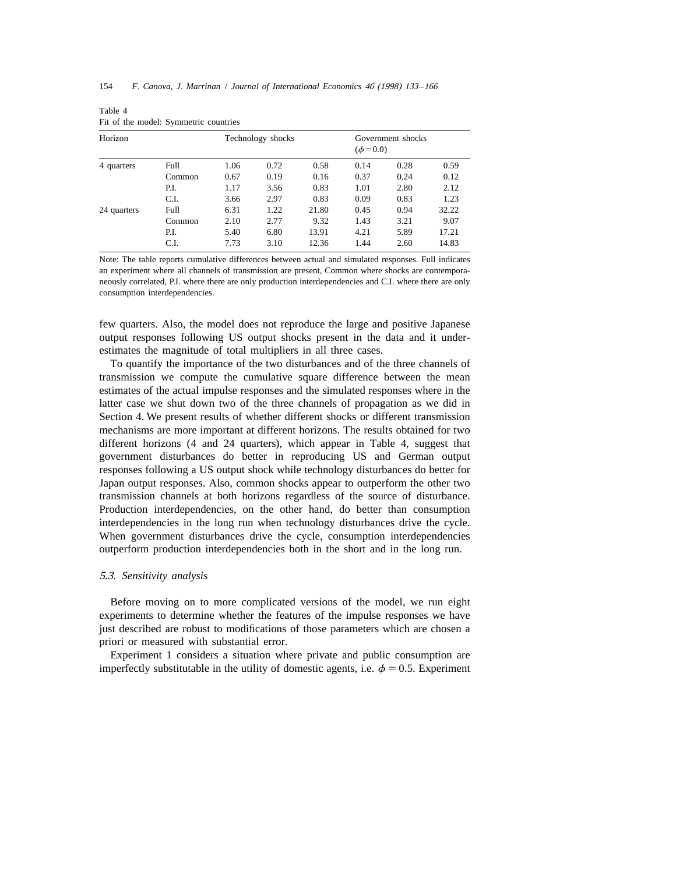| Horizon     |        |      | Technology shocks |       |      | Government shocks<br>$(\phi = 0.0)$ |       |  |
|-------------|--------|------|-------------------|-------|------|-------------------------------------|-------|--|
| 4 quarters  | Full   | 1.06 | 0.72              | 0.58  | 0.14 | 0.28                                | 0.59  |  |
|             | Common | 0.67 | 0.19              | 0.16  | 0.37 | 0.24                                | 0.12  |  |
|             | P.I.   | 1.17 | 3.56              | 0.83  | 1.01 | 2.80                                | 2.12  |  |
|             | C.L.   | 3.66 | 2.97              | 0.83  | 0.09 | 0.83                                | 1.23  |  |
| 24 quarters | Full   | 6.31 | 1.22              | 21.80 | 0.45 | 0.94                                | 32.22 |  |
|             | Common | 2.10 | 2.77              | 9.32  | 1.43 | 3.21                                | 9.07  |  |
|             | P.I.   | 5.40 | 6.80              | 13.91 | 4.21 | 5.89                                | 17.21 |  |
|             | C.L    | 7.73 | 3.10              | 12.36 | 1.44 | 2.60                                | 14.83 |  |

| Table 4 |                                       |  |
|---------|---------------------------------------|--|
|         | Fit of the model: Symmetric countries |  |

Note: The table reports cumulative differences between actual and simulated responses. Full indicates an experiment where all channels of transmission are present, Common where shocks are contemporaneously correlated, P.I. where there are only production interdependencies and C.I. where there are only consumption interdependencies.

few quarters. Also, the model does not reproduce the large and positive Japanese output responses following US output shocks present in the data and it underestimates the magnitude of total multipliers in all three cases.

To quantify the importance of the two disturbances and of the three channels of transmission we compute the cumulative square difference between the mean estimates of the actual impulse responses and the simulated responses where in the latter case we shut down two of the three channels of propagation as we did in Section 4. We present results of whether different shocks or different transmission mechanisms are more important at different horizons. The results obtained for two different horizons (4 and 24 quarters), which appear in Table 4, suggest that government disturbances do better in reproducing US and German output responses following a US output shock while technology disturbances do better for Japan output responses. Also, common shocks appear to outperform the other two transmission channels at both horizons regardless of the source of disturbance. Production interdependencies, on the other hand, do better than consumption interdependencies in the long run when technology disturbances drive the cycle. When government disturbances drive the cycle, consumption interdependencies outperform production interdependencies both in the short and in the long run.

## 5.3. *Sensitivity analysis*

Before moving on to more complicated versions of the model, we run eight experiments to determine whether the features of the impulse responses we have just described are robust to modifications of those parameters which are chosen a priori or measured with substantial error.

Experiment 1 considers a situation where private and public consumption are imperfectly substitutable in the utility of domestic agents, i.e.  $\phi = 0.5$ . Experiment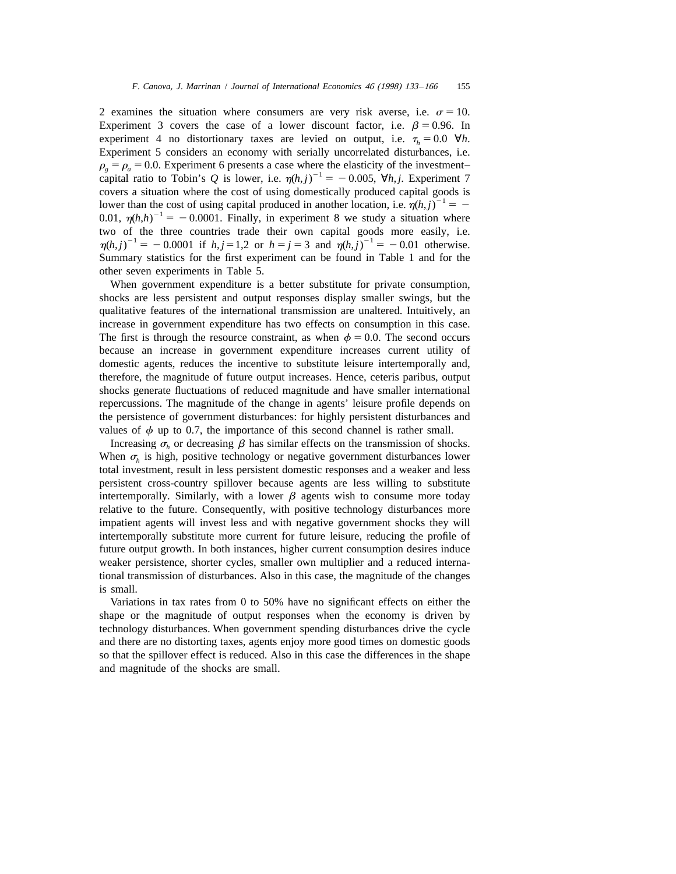2 examines the situation where consumers are very risk averse, i.e.  $\sigma = 10$ . Experiment 3 covers the case of a lower discount factor, i.e.  $\beta = 0.96$ . In experiment 4 no distortionary taxes are levied on output, i.e.  $\tau_h = 0.0 \text{ V}h$ . Experiment 5 considers an economy with serially uncorrelated disturbances, i.e.  $\rho_g = \rho_a = 0.0$ . Experiment 6 presents a case where the elasticity of the investment–<br>capital ratio to Tobin's *Q* is lower, i.e.  $\eta(h, j)^{-1} = -0.005$ ,  $\nabla h, j$ . Experiment 7 covers a situation where the cost of using domestically produced capital goods is<br>lower than the cost of using capital produced in another location, i.e.  $\eta(h,j)^{-1} = -0.01$ ,  $\eta(h,h)^{-1} = -0.0001$ . Finally, in experiment 8 we s two of the three countries trade their own capital goods more easily, i.e.  $\eta(h, j)^{-1} = -0.0001$  if  $h, j = 1,2$  or  $h = j = 3$  and  $\eta(h, j)^{-1} = -0.01$  otherwise. Summary statistics for the first experiment can be found in Table 1 and for the other seven experiments in Table 5.

When government expenditure is a better substitute for private consumption, shocks are less persistent and output responses display smaller swings, but the qualitative features of the international transmission are unaltered. Intuitively, an increase in government expenditure has two effects on consumption in this case. The first is through the resource constraint, as when  $\phi = 0.0$ . The second occurs because an increase in government expenditure increases current utility of domestic agents, reduces the incentive to substitute leisure intertemporally and, therefore, the magnitude of future output increases. Hence, ceteris paribus, output shocks generate fluctuations of reduced magnitude and have smaller international repercussions. The magnitude of the change in agents' leisure profile depends on the persistence of government disturbances: for highly persistent disturbances and values of  $\phi$  up to 0.7, the importance of this second channel is rather small.

Increasing  $\sigma_{h}$  or decreasing  $\beta$  has similar effects on the transmission of shocks. When  $\sigma_{h}$  is high, positive technology or negative government disturbances lower total investment, result in less persistent domestic responses and a weaker and less persistent cross-country spillover because agents are less willing to substitute intertemporally. Similarly, with a lower  $\beta$  agents wish to consume more today relative to the future. Consequently, with positive technology disturbances more impatient agents will invest less and with negative government shocks they will intertemporally substitute more current for future leisure, reducing the profile of future output growth. In both instances, higher current consumption desires induce weaker persistence, shorter cycles, smaller own multiplier and a reduced international transmission of disturbances. Also in this case, the magnitude of the changes is small.

Variations in tax rates from 0 to 50% have no significant effects on either the shape or the magnitude of output responses when the economy is driven by technology disturbances. When government spending disturbances drive the cycle and there are no distorting taxes, agents enjoy more good times on domestic goods so that the spillover effect is reduced. Also in this case the differences in the shape and magnitude of the shocks are small.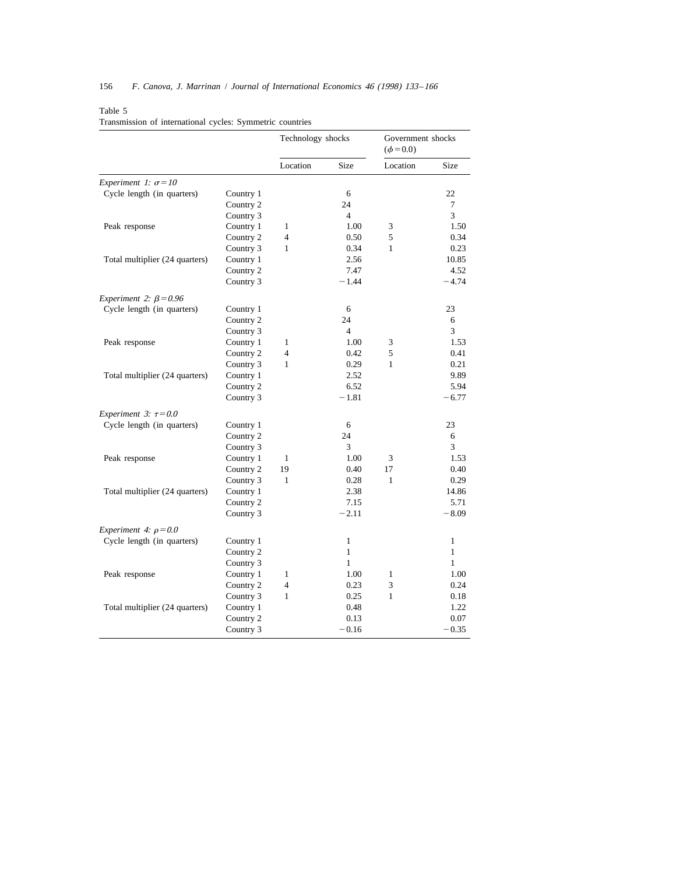|                                |           | Technology shocks |                | Government shocks<br>$(\phi = 0.0)$ |              |
|--------------------------------|-----------|-------------------|----------------|-------------------------------------|--------------|
|                                |           | Location          | Size           | Location                            | Size         |
| Experiment 1: $\sigma = 10$    |           |                   |                |                                     |              |
| Cycle length (in quarters)     | Country 1 |                   | 6              |                                     | 22           |
|                                | Country 2 |                   | 24             |                                     | 7            |
|                                | Country 3 |                   | $\overline{4}$ |                                     | 3            |
| Peak response                  | Country 1 | $\mathbf{1}$      | 1.00           | 3                                   | 1.50         |
|                                | Country 2 | $\overline{4}$    | 0.50           | 5                                   | 0.34         |
|                                | Country 3 | $\mathbf{1}$      | 0.34           | 1                                   | 0.23         |
| Total multiplier (24 quarters) | Country 1 |                   | 2.56           |                                     | 10.85        |
|                                | Country 2 |                   | 7.47           |                                     | 4.52         |
|                                | Country 3 |                   | $-1.44$        |                                     | $-4.74$      |
| Experiment 2: $\beta$ = 0.96   |           |                   |                |                                     |              |
| Cycle length (in quarters)     | Country 1 |                   | 6              |                                     | 23           |
|                                | Country 2 |                   | 24             |                                     | 6            |
|                                | Country 3 |                   | $\overline{4}$ |                                     | 3            |
| Peak response                  | Country 1 | 1                 | 1.00           | 3                                   | 1.53         |
|                                | Country 2 | 4                 | 0.42           | 5                                   | 0.41         |
|                                | Country 3 | 1                 | 0.29           | $\mathbf{1}$                        | 0.21         |
| Total multiplier (24 quarters) | Country 1 |                   | 2.52           |                                     | 9.89         |
|                                | Country 2 |                   | 6.52           |                                     | 5.94         |
|                                | Country 3 |                   | $-1.81$        |                                     | $-6.77$      |
| Experiment 3: $\tau = 0.0$     |           |                   |                |                                     |              |
| Cycle length (in quarters)     | Country 1 |                   | 6              |                                     | 23           |
|                                | Country 2 |                   | 24             |                                     | 6            |
|                                | Country 3 |                   | 3              |                                     | 3            |
| Peak response                  | Country 1 | $\mathbf{1}$      | 1.00           | 3                                   | 1.53         |
|                                | Country 2 | 19                | 0.40           | 17                                  | 0.40         |
|                                | Country 3 | $\mathbf{1}$      | 0.28           | 1                                   | 0.29         |
| Total multiplier (24 quarters) | Country 1 |                   | 2.38           |                                     | 14.86        |
|                                | Country 2 |                   | 7.15           |                                     | 5.71         |
|                                | Country 3 |                   | $-2.11$        |                                     | $-8.09$      |
| Experiment 4: $\rho = 0.0$     |           |                   |                |                                     |              |
| Cycle length (in quarters)     | Country 1 |                   | $\mathbf{1}$   |                                     | $\mathbf{1}$ |
|                                | Country 2 |                   | $\mathbf{1}$   |                                     | $\mathbf{1}$ |
|                                | Country 3 |                   | $\mathbf{1}$   |                                     | $\mathbf{1}$ |
| Peak response                  | Country 1 | 1                 | 1.00           | 1                                   | 1.00         |
|                                | Country 2 | 4                 | 0.23           | 3                                   | 0.24         |
|                                | Country 3 | 1                 | 0.25           | 1                                   | 0.18         |
| Total multiplier (24 quarters) | Country 1 |                   | 0.48           |                                     | 1.22         |
|                                | Country 2 |                   | 0.13           |                                     | 0.07         |
|                                | Country 3 |                   | $-0.16$        |                                     | $-0.35$      |

## Table 5

Transmission of international cycles: Symmetric countries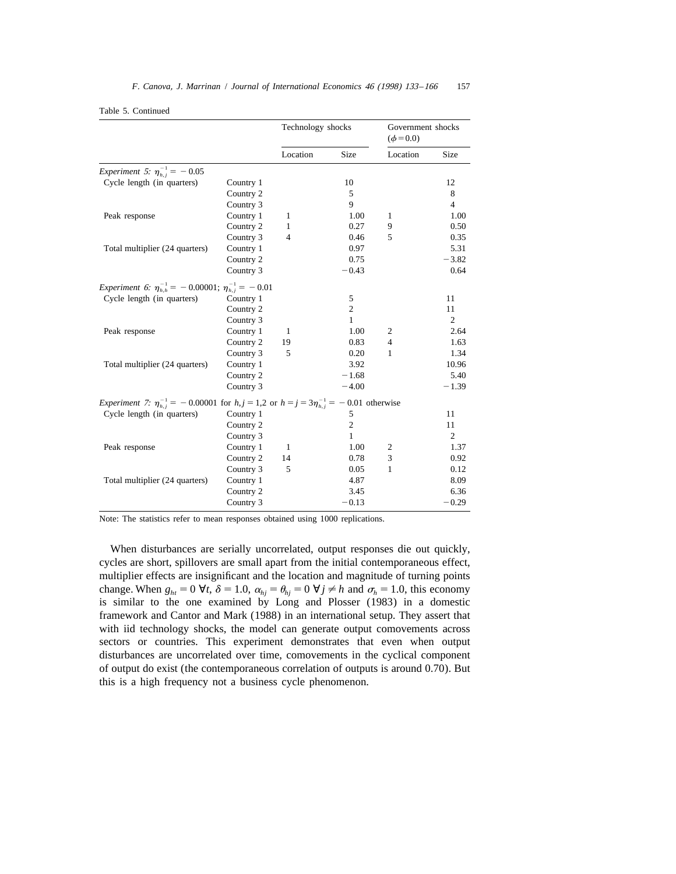|                                                                                                                   |           | Technology shocks |                | Government shocks<br>$(\phi = 0.0)$ |                |
|-------------------------------------------------------------------------------------------------------------------|-----------|-------------------|----------------|-------------------------------------|----------------|
|                                                                                                                   |           | Location          | Size           | Location                            | Size           |
| <i>Experiment 5:</i> $\eta_{h,j}^{-1} = -0.05$                                                                    |           |                   |                |                                     |                |
| Cycle length (in quarters)                                                                                        | Country 1 |                   | 10             |                                     | 12             |
|                                                                                                                   | Country 2 |                   | 5              |                                     | 8              |
|                                                                                                                   | Country 3 |                   | 9              |                                     | $\overline{4}$ |
| Peak response                                                                                                     | Country 1 | 1                 | 1.00           | 1                                   | 1.00           |
|                                                                                                                   | Country 2 | 1                 | 0.27           | 9                                   | 0.50           |
|                                                                                                                   | Country 3 | 4                 | 0.46           | 5                                   | 0.35           |
| Total multiplier (24 quarters)                                                                                    | Country 1 |                   | 0.97           |                                     | 5.31           |
|                                                                                                                   | Country 2 |                   | 0.75           |                                     | $-3.82$        |
|                                                                                                                   | Country 3 |                   | $-0.43$        |                                     | 0.64           |
| Experiment 6: $\eta_{h,h}^{-1} = -0.00001$ ; $\eta_{h,i}^{-1} = -0.01$                                            |           |                   |                |                                     |                |
| Cycle length (in quarters)                                                                                        | Country 1 |                   | 5              |                                     | 11             |
|                                                                                                                   | Country 2 |                   | $\overline{c}$ |                                     | 11             |
|                                                                                                                   | Country 3 |                   | $\mathbf{1}$   |                                     | $\mathbf{2}$   |
| Peak response                                                                                                     | Country 1 | -1                | 1.00           | 2                                   | 2.64           |
|                                                                                                                   | Country 2 | 19                | 0.83           | $\overline{4}$                      | 1.63           |
|                                                                                                                   | Country 3 | 5                 | 0.20           | 1                                   | 1.34           |
| Total multiplier (24 quarters)                                                                                    | Country 1 |                   | 3.92           |                                     | 10.96          |
|                                                                                                                   | Country 2 |                   | $-1.68$        |                                     | 5.40           |
|                                                                                                                   | Country 3 |                   | $-4.00$        |                                     | $-1.39$        |
| <i>Experiment 7:</i> $\eta_{h,j}^{-1} = -0.00001$ for $h,j = 1,2$ or $h = j = 3\eta_{h,j}^{-1} = -0.01$ otherwise |           |                   |                |                                     |                |
| Cycle length (in quarters)                                                                                        | Country 1 |                   | 5              |                                     | 11             |
|                                                                                                                   | Country 2 |                   | $\overline{c}$ |                                     | 11             |
|                                                                                                                   | Country 3 |                   | $\mathbf{1}$   |                                     | $\overline{c}$ |
| Peak response                                                                                                     | Country 1 | $\mathbf{1}$      | 1.00           | $\mathfrak{2}$                      | 1.37           |
|                                                                                                                   | Country 2 | 14                | 0.78           | 3                                   | 0.92           |
|                                                                                                                   | Country 3 | 5                 | 0.05           | 1                                   | 0.12           |
| Total multiplier (24 quarters)                                                                                    | Country 1 |                   | 4.87           |                                     | 8.09           |
|                                                                                                                   | Country 2 |                   | 3.45           |                                     | 6.36           |
|                                                                                                                   | Country 3 |                   | $-0.13$        |                                     | $-0.29$        |

| Table 5. Continued |
|--------------------|
|--------------------|

Note: The statistics refer to mean responses obtained using 1000 replications.

When disturbances are serially uncorrelated, output responses die out quickly, cycles are short, spillovers are small apart from the initial contemporaneous effect, multiplier effects are insignificant and the location and magnitude of turning points change. When  $g_{ht} = 0 \forall t, \delta = 1.0, \alpha_{hi} = \theta_{hi} = 0 \forall j \neq h$  and  $\sigma_h = 1.0$ , this economy is similar to the one examined by Long and Plosser (1983) in a domestic framework and Cantor and Mark (1988) in an international setup. They assert that with iid technology shocks, the model can generate output comovements across sectors or countries. This experiment demonstrates that even when output disturbances are uncorrelated over time, comovements in the cyclical component of output do exist (the contemporaneous correlation of outputs is around 0.70). But this is a high frequency not a business cycle phenomenon.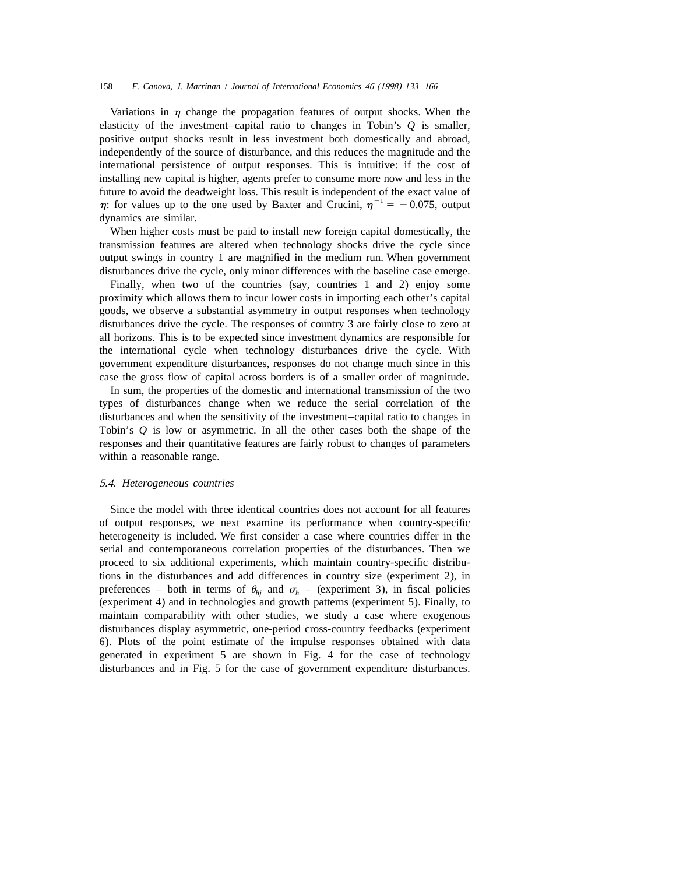Variations in  $\eta$  change the propagation features of output shocks. When the elasticity of the investment–capital ratio to changes in Tobin's *Q* is smaller, positive output shocks result in less investment both domestically and abroad, independently of the source of disturbance, and this reduces the magnitude and the international persistence of output responses. This is intuitive: if the cost of installing new capital is higher, agents prefer to consume more now and less in the future to avoid the deadweight loss. This result is independent of the exact value of  $\eta$ : for values up to the one used by Baxter and Crucini,  $\eta^{-1} = -0.075$ , output dynamics are similar.

When higher costs must be paid to install new foreign capital domestically, the transmission features are altered when technology shocks drive the cycle since output swings in country 1 are magnified in the medium run. When government disturbances drive the cycle, only minor differences with the baseline case emerge.

Finally, when two of the countries (say, countries 1 and 2) enjoy some proximity which allows them to incur lower costs in importing each other's capital goods, we observe a substantial asymmetry in output responses when technology disturbances drive the cycle. The responses of country 3 are fairly close to zero at all horizons. This is to be expected since investment dynamics are responsible for the international cycle when technology disturbances drive the cycle. With government expenditure disturbances, responses do not change much since in this case the gross flow of capital across borders is of a smaller order of magnitude.

In sum, the properties of the domestic and international transmission of the two types of disturbances change when we reduce the serial correlation of the disturbances and when the sensitivity of the investment–capital ratio to changes in Tobin's *Q* is low or asymmetric. In all the other cases both the shape of the responses and their quantitative features are fairly robust to changes of parameters within a reasonable range.

#### 5.4. *Heterogeneous countries*

Since the model with three identical countries does not account for all features of output responses, we next examine its performance when country-specific heterogeneity is included. We first consider a case where countries differ in the serial and contemporaneous correlation properties of the disturbances. Then we proceed to six additional experiments, which maintain country-specific distributions in the disturbances and add differences in country size (experiment 2), in preferences – both in terms of  $\theta_{hi}$  and  $\sigma_h$  – (experiment 3), in fiscal policies (experiment 4) and in technologies and growth patterns (experiment 5). Finally, to maintain comparability with other studies, we study a case where exogenous disturbances display asymmetric, one-period cross-country feedbacks (experiment 6). Plots of the point estimate of the impulse responses obtained with data generated in experiment 5 are shown in Fig. 4 for the case of technology disturbances and in Fig. 5 for the case of government expenditure disturbances.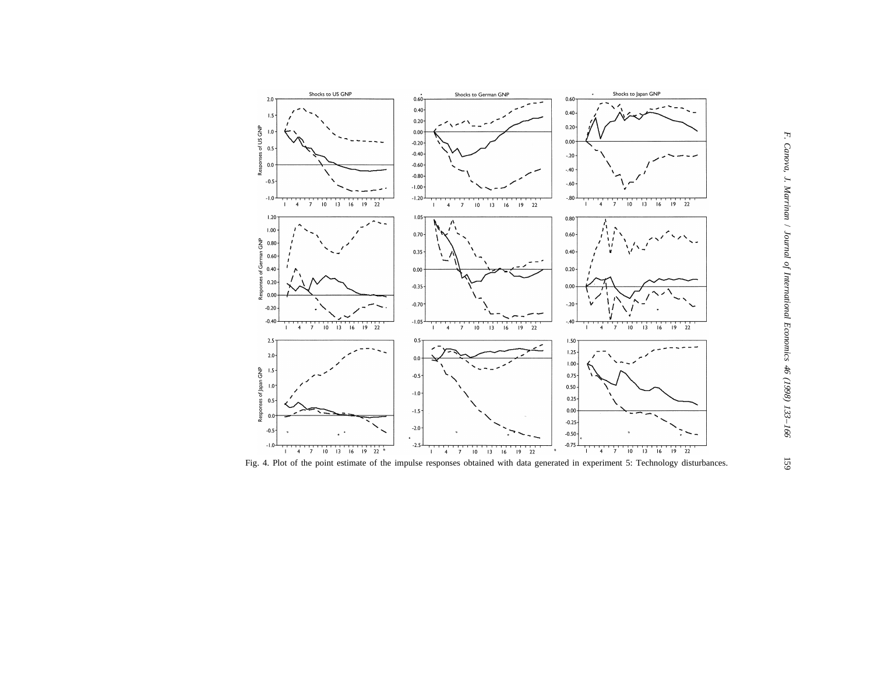

Fig. 4. Plot of the point estimate of the impulse responses obtained with data generated in experiment 5: Technology disturbances.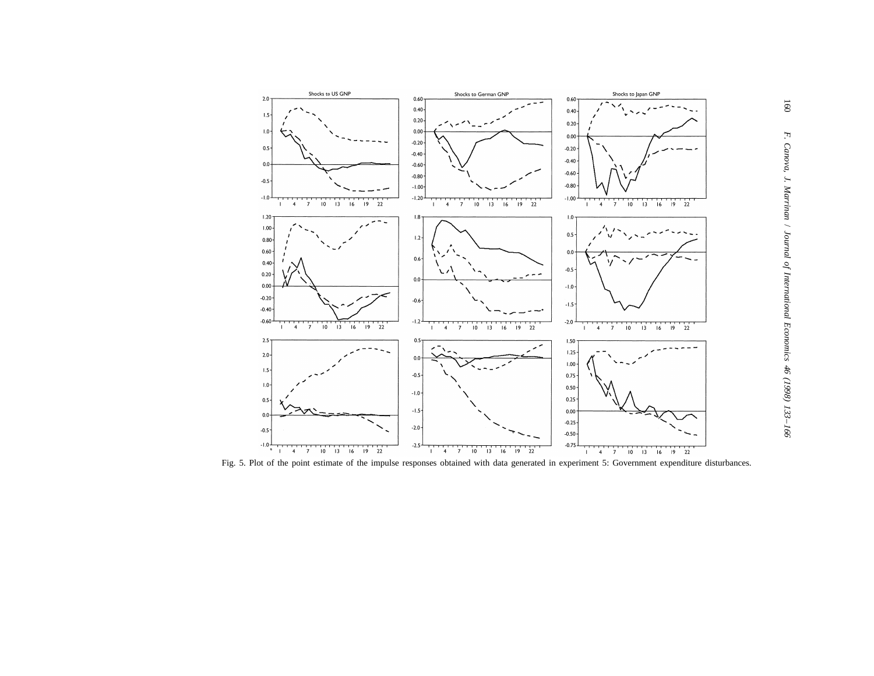

Fig. 5. Plot of the point estimate of the impulse responses obtained with data generated in experiment 5: Government expenditure disturbances.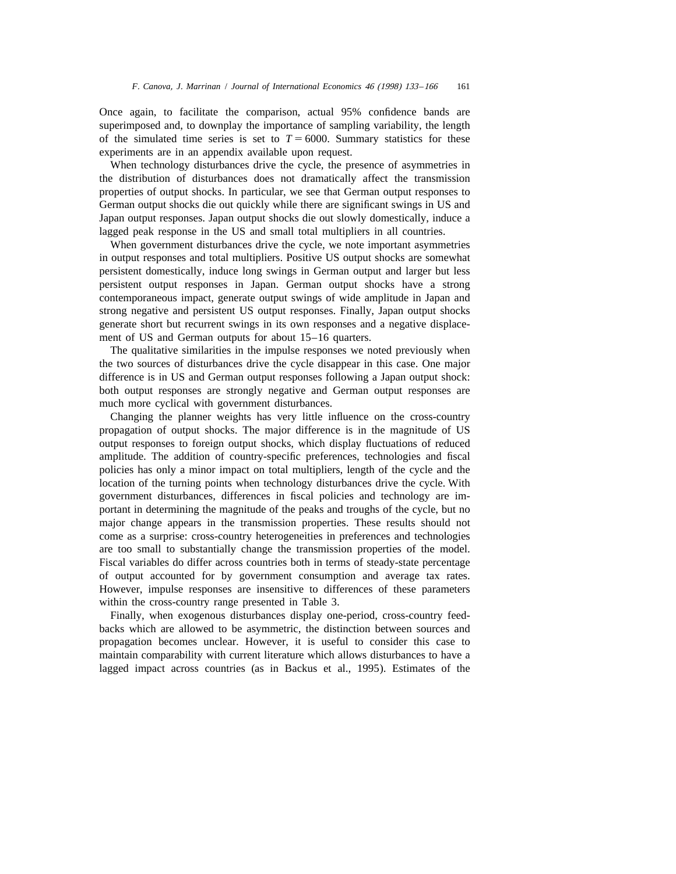Once again, to facilitate the comparison, actual 95% confidence bands are superimposed and, to downplay the importance of sampling variability, the length of the simulated time series is set to  $T = 6000$ . Summary statistics for these experiments are in an appendix available upon request.

When technology disturbances drive the cycle, the presence of asymmetries in the distribution of disturbances does not dramatically affect the transmission properties of output shocks. In particular, we see that German output responses to German output shocks die out quickly while there are significant swings in US and Japan output responses. Japan output shocks die out slowly domestically, induce a lagged peak response in the US and small total multipliers in all countries.

When government disturbances drive the cycle, we note important asymmetries in output responses and total multipliers. Positive US output shocks are somewhat persistent domestically, induce long swings in German output and larger but less persistent output responses in Japan. German output shocks have a strong contemporaneous impact, generate output swings of wide amplitude in Japan and strong negative and persistent US output responses. Finally, Japan output shocks generate short but recurrent swings in its own responses and a negative displacement of US and German outputs for about 15–16 quarters.

The qualitative similarities in the impulse responses we noted previously when the two sources of disturbances drive the cycle disappear in this case. One major difference is in US and German output responses following a Japan output shock: both output responses are strongly negative and German output responses are much more cyclical with government disturbances.

Changing the planner weights has very little influence on the cross-country propagation of output shocks. The major difference is in the magnitude of US output responses to foreign output shocks, which display fluctuations of reduced amplitude. The addition of country-specific preferences, technologies and fiscal policies has only a minor impact on total multipliers, length of the cycle and the location of the turning points when technology disturbances drive the cycle. With government disturbances, differences in fiscal policies and technology are important in determining the magnitude of the peaks and troughs of the cycle, but no major change appears in the transmission properties. These results should not come as a surprise: cross-country heterogeneities in preferences and technologies are too small to substantially change the transmission properties of the model. Fiscal variables do differ across countries both in terms of steady-state percentage of output accounted for by government consumption and average tax rates. However, impulse responses are insensitive to differences of these parameters within the cross-country range presented in Table 3.

Finally, when exogenous disturbances display one-period, cross-country feedbacks which are allowed to be asymmetric, the distinction between sources and propagation becomes unclear. However, it is useful to consider this case to maintain comparability with current literature which allows disturbances to have a lagged impact across countries (as in Backus et al., 1995). Estimates of the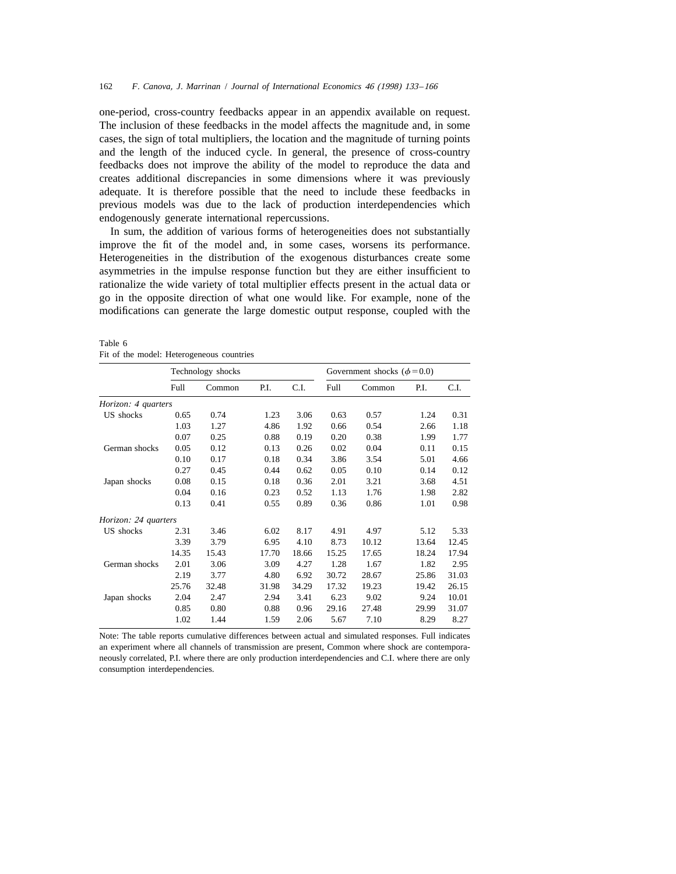one-period, cross-country feedbacks appear in an appendix available on request. The inclusion of these feedbacks in the model affects the magnitude and, in some cases, the sign of total multipliers, the location and the magnitude of turning points and the length of the induced cycle. In general, the presence of cross-country feedbacks does not improve the ability of the model to reproduce the data and creates additional discrepancies in some dimensions where it was previously adequate. It is therefore possible that the need to include these feedbacks in previous models was due to the lack of production interdependencies which endogenously generate international repercussions.

In sum, the addition of various forms of heterogeneities does not substantially improve the fit of the model and, in some cases, worsens its performance. Heterogeneities in the distribution of the exogenous disturbances create some asymmetries in the impulse response function but they are either insufficient to rationalize the wide variety of total multiplier effects present in the actual data or go in the opposite direction of what one would like. For example, none of the modifications can generate the large domestic output response, coupled with the

|                      | Technology shocks |        |       |       | Government shocks ( $\phi$ =0.0) |        |       |       |
|----------------------|-------------------|--------|-------|-------|----------------------------------|--------|-------|-------|
|                      | Full              | Common | P.I.  | C.I.  | Full                             | Common | P.I.  | C.I.  |
| Horizon: 4 quarters  |                   |        |       |       |                                  |        |       |       |
| US shocks            | 0.65              | 0.74   | 1.23  | 3.06  | 0.63                             | 0.57   | 1.24  | 0.31  |
|                      | 1.03              | 1.27   | 4.86  | 1.92  | 0.66                             | 0.54   | 2.66  | 1.18  |
|                      | 0.07              | 0.25   | 0.88  | 0.19  | 0.20                             | 0.38   | 1.99  | 1.77  |
| German shocks        | 0.05              | 0.12   | 0.13  | 0.26  | 0.02                             | 0.04   | 0.11  | 0.15  |
|                      | 0.10              | 0.17   | 0.18  | 0.34  | 3.86                             | 3.54   | 5.01  | 4.66  |
|                      | 0.27              | 0.45   | 0.44  | 0.62  | 0.05                             | 0.10   | 0.14  | 0.12  |
| Japan shocks         | 0.08              | 0.15   | 0.18  | 0.36  | 2.01                             | 3.21   | 3.68  | 4.51  |
|                      | 0.04              | 0.16   | 0.23  | 0.52  | 1.13                             | 1.76   | 1.98  | 2.82  |
|                      | 0.13              | 0.41   | 0.55  | 0.89  | 0.36                             | 0.86   | 1.01  | 0.98  |
| Horizon: 24 quarters |                   |        |       |       |                                  |        |       |       |
| US shocks            | 2.31              | 3.46   | 6.02  | 8.17  | 4.91                             | 4.97   | 5.12  | 5.33  |
|                      | 3.39              | 3.79   | 6.95  | 4.10  | 8.73                             | 10.12  | 13.64 | 12.45 |
|                      | 14.35             | 15.43  | 17.70 | 18.66 | 15.25                            | 17.65  | 18.24 | 17.94 |
| German shocks        | 2.01              | 3.06   | 3.09  | 4.27  | 1.28                             | 1.67   | 1.82  | 2.95  |
|                      | 2.19              | 3.77   | 4.80  | 6.92  | 30.72                            | 28.67  | 25.86 | 31.03 |
|                      | 25.76             | 32.48  | 31.98 | 34.29 | 17.32                            | 19.23  | 19.42 | 26.15 |
| Japan shocks         | 2.04              | 2.47   | 2.94  | 3.41  | 6.23                             | 9.02   | 9.24  | 10.01 |
|                      | 0.85              | 0.80   | 0.88  | 0.96  | 29.16                            | 27.48  | 29.99 | 31.07 |
|                      | 1.02              | 1.44   | 1.59  | 2.06  | 5.67                             | 7.10   | 8.29  | 8.27  |

| Table 6 |  |                                           |  |
|---------|--|-------------------------------------------|--|
|         |  | Fit of the model: Heterogeneous countries |  |

Note: The table reports cumulative differences between actual and simulated responses. Full indicates an experiment where all channels of transmission are present, Common where shock are contemporaneously correlated, P.I. where there are only production interdependencies and C.I. where there are only consumption interdependencies.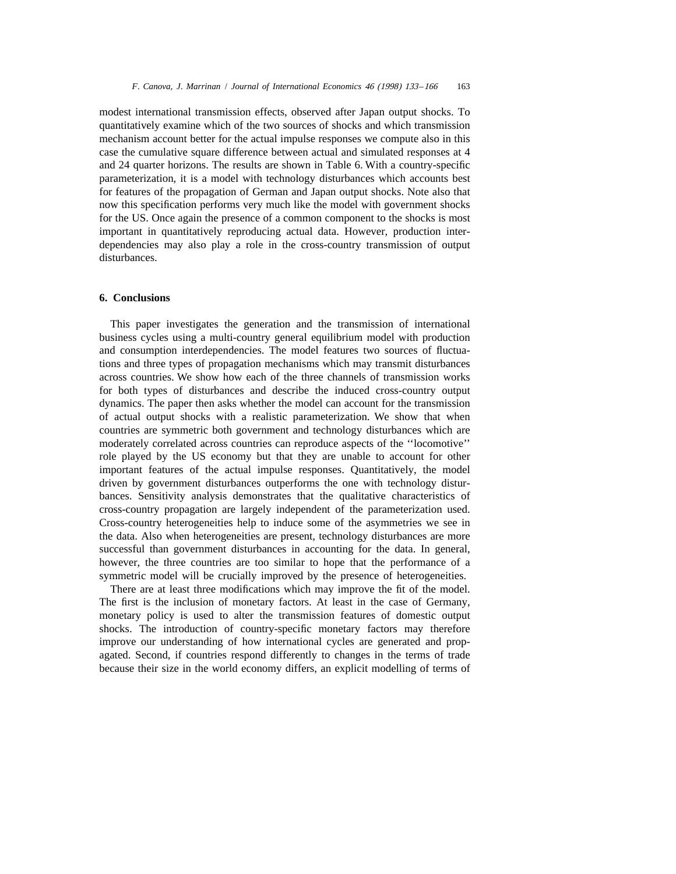modest international transmission effects, observed after Japan output shocks. To quantitatively examine which of the two sources of shocks and which transmission mechanism account better for the actual impulse responses we compute also in this case the cumulative square difference between actual and simulated responses at 4 and 24 quarter horizons. The results are shown in Table 6. With a country-specific parameterization, it is a model with technology disturbances which accounts best for features of the propagation of German and Japan output shocks. Note also that now this specification performs very much like the model with government shocks for the US. Once again the presence of a common component to the shocks is most important in quantitatively reproducing actual data. However, production interdependencies may also play a role in the cross-country transmission of output disturbances.

## **6. Conclusions**

This paper investigates the generation and the transmission of international business cycles using a multi-country general equilibrium model with production and consumption interdependencies. The model features two sources of fluctuations and three types of propagation mechanisms which may transmit disturbances across countries. We show how each of the three channels of transmission works for both types of disturbances and describe the induced cross-country output dynamics. The paper then asks whether the model can account for the transmission of actual output shocks with a realistic parameterization. We show that when countries are symmetric both government and technology disturbances which are moderately correlated across countries can reproduce aspects of the ''locomotive'' role played by the US economy but that they are unable to account for other important features of the actual impulse responses. Quantitatively, the model driven by government disturbances outperforms the one with technology disturbances. Sensitivity analysis demonstrates that the qualitative characteristics of cross-country propagation are largely independent of the parameterization used. Cross-country heterogeneities help to induce some of the asymmetries we see in the data. Also when heterogeneities are present, technology disturbances are more successful than government disturbances in accounting for the data. In general, however, the three countries are too similar to hope that the performance of a symmetric model will be crucially improved by the presence of heterogeneities.

There are at least three modifications which may improve the fit of the model. The first is the inclusion of monetary factors. At least in the case of Germany, monetary policy is used to alter the transmission features of domestic output shocks. The introduction of country-specific monetary factors may therefore improve our understanding of how international cycles are generated and propagated. Second, if countries respond differently to changes in the terms of trade because their size in the world economy differs, an explicit modelling of terms of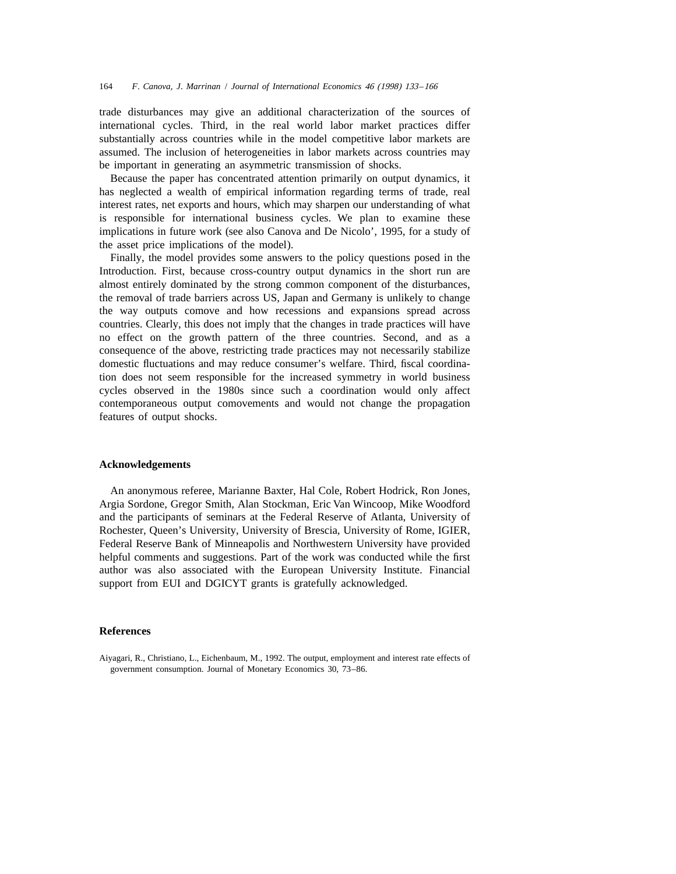trade disturbances may give an additional characterization of the sources of international cycles. Third, in the real world labor market practices differ substantially across countries while in the model competitive labor markets are assumed. The inclusion of heterogeneities in labor markets across countries may be important in generating an asymmetric transmission of shocks.

Because the paper has concentrated attention primarily on output dynamics, it has neglected a wealth of empirical information regarding terms of trade, real interest rates, net exports and hours, which may sharpen our understanding of what is responsible for international business cycles. We plan to examine these implications in future work (see also Canova and De Nicolo', 1995, for a study of the asset price implications of the model).

Finally, the model provides some answers to the policy questions posed in the Introduction. First, because cross-country output dynamics in the short run are almost entirely dominated by the strong common component of the disturbances, the removal of trade barriers across US, Japan and Germany is unlikely to change the way outputs comove and how recessions and expansions spread across countries. Clearly, this does not imply that the changes in trade practices will have no effect on the growth pattern of the three countries. Second, and as a consequence of the above, restricting trade practices may not necessarily stabilize domestic fluctuations and may reduce consumer's welfare. Third, fiscal coordination does not seem responsible for the increased symmetry in world business cycles observed in the 1980s since such a coordination would only affect contemporaneous output comovements and would not change the propagation features of output shocks.

## **Acknowledgements**

An anonymous referee, Marianne Baxter, Hal Cole, Robert Hodrick, Ron Jones, Argia Sordone, Gregor Smith, Alan Stockman, Eric Van Wincoop, Mike Woodford and the participants of seminars at the Federal Reserve of Atlanta, University of Rochester, Queen's University, University of Brescia, University of Rome, IGIER, Federal Reserve Bank of Minneapolis and Northwestern University have provided helpful comments and suggestions. Part of the work was conducted while the first author was also associated with the European University Institute. Financial support from EUI and DGICYT grants is gratefully acknowledged.

#### **References**

Aiyagari, R., Christiano, L., Eichenbaum, M., 1992. The output, employment and interest rate effects of government consumption. Journal of Monetary Economics 30, 73–86.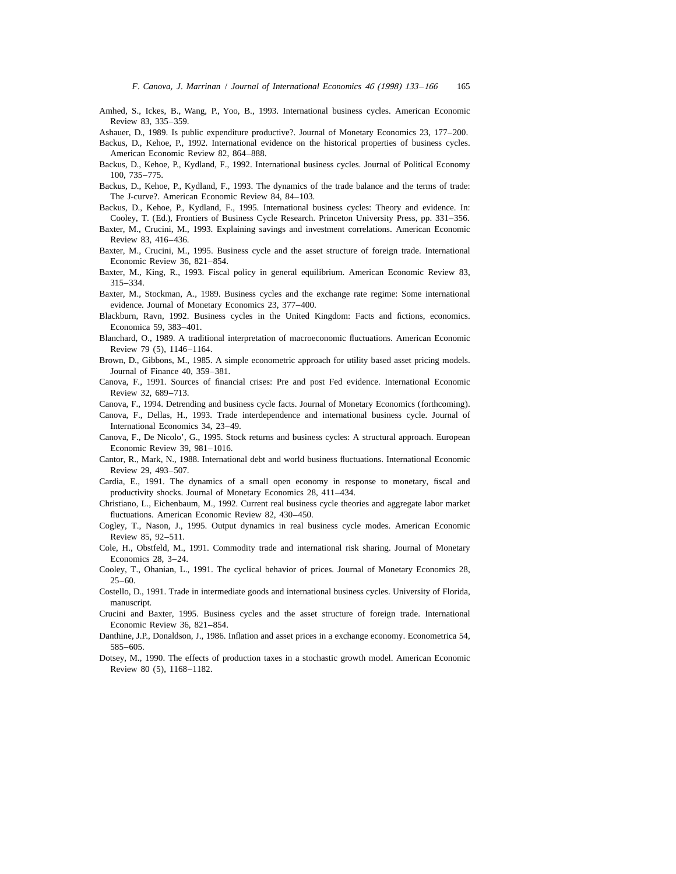- Amhed, S., Ickes, B., Wang, P., Yoo, B., 1993. International business cycles. American Economic Review 83, 335–359.
- Ashauer, D., 1989. Is public expenditure productive?. Journal of Monetary Economics 23, 177–200.
- Backus, D., Kehoe, P., 1992. International evidence on the historical properties of business cycles. American Economic Review 82, 864–888.
- Backus, D., Kehoe, P., Kydland, F., 1992. International business cycles. Journal of Political Economy 100, 735–775.
- Backus, D., Kehoe, P., Kydland, F., 1993. The dynamics of the trade balance and the terms of trade: The J-curve?. American Economic Review 84, 84–103.
- Backus, D., Kehoe, P., Kydland, F., 1995. International business cycles: Theory and evidence. In: Cooley, T. (Ed.), Frontiers of Business Cycle Research. Princeton University Press, pp. 331–356.
- Baxter, M., Crucini, M., 1993. Explaining savings and investment correlations. American Economic Review 83, 416–436.
- Baxter, M., Crucini, M., 1995. Business cycle and the asset structure of foreign trade. International Economic Review 36, 821–854.
- Baxter, M., King, R., 1993. Fiscal policy in general equilibrium. American Economic Review 83, 315–334.
- Baxter, M., Stockman, A., 1989. Business cycles and the exchange rate regime: Some international evidence. Journal of Monetary Economics 23, 377–400.
- Blackburn, Ravn, 1992. Business cycles in the United Kingdom: Facts and fictions, economics. Economica 59, 383–401.
- Blanchard, O., 1989. A traditional interpretation of macroeconomic fluctuations. American Economic Review 79 (5), 1146–1164.
- Brown, D., Gibbons, M., 1985. A simple econometric approach for utility based asset pricing models. Journal of Finance 40, 359–381.
- Canova, F., 1991. Sources of financial crises: Pre and post Fed evidence. International Economic Review 32, 689–713.
- Canova, F., 1994. Detrending and business cycle facts. Journal of Monetary Economics (forthcoming).
- Canova, F., Dellas, H., 1993. Trade interdependence and international business cycle. Journal of International Economics 34, 23–49.
- Canova, F., De Nicolo', G., 1995. Stock returns and business cycles: A structural approach. European Economic Review 39, 981–1016.
- Cantor, R., Mark, N., 1988. International debt and world business fluctuations. International Economic Review 29, 493–507.
- Cardia, E., 1991. The dynamics of a small open economy in response to monetary, fiscal and productivity shocks. Journal of Monetary Economics 28, 411–434.
- Christiano, L., Eichenbaum, M., 1992. Current real business cycle theories and aggregate labor market fluctuations. American Economic Review 82, 430–450.
- Cogley, T., Nason, J., 1995. Output dynamics in real business cycle modes. American Economic Review 85, 92–511.
- Cole, H., Obstfeld, M., 1991. Commodity trade and international risk sharing. Journal of Monetary Economics 28, 3–24.
- Cooley, T., Ohanian, L., 1991. The cyclical behavior of prices. Journal of Monetary Economics 28,  $25 - 60.$
- Costello, D., 1991. Trade in intermediate goods and international business cycles. University of Florida, manuscript.
- Crucini and Baxter, 1995. Business cycles and the asset structure of foreign trade. International Economic Review 36, 821–854.
- Danthine, J.P., Donaldson, J., 1986. Inflation and asset prices in a exchange economy. Econometrica 54, 585–605.
- Dotsey, M., 1990. The effects of production taxes in a stochastic growth model. American Economic Review 80 (5), 1168–1182.